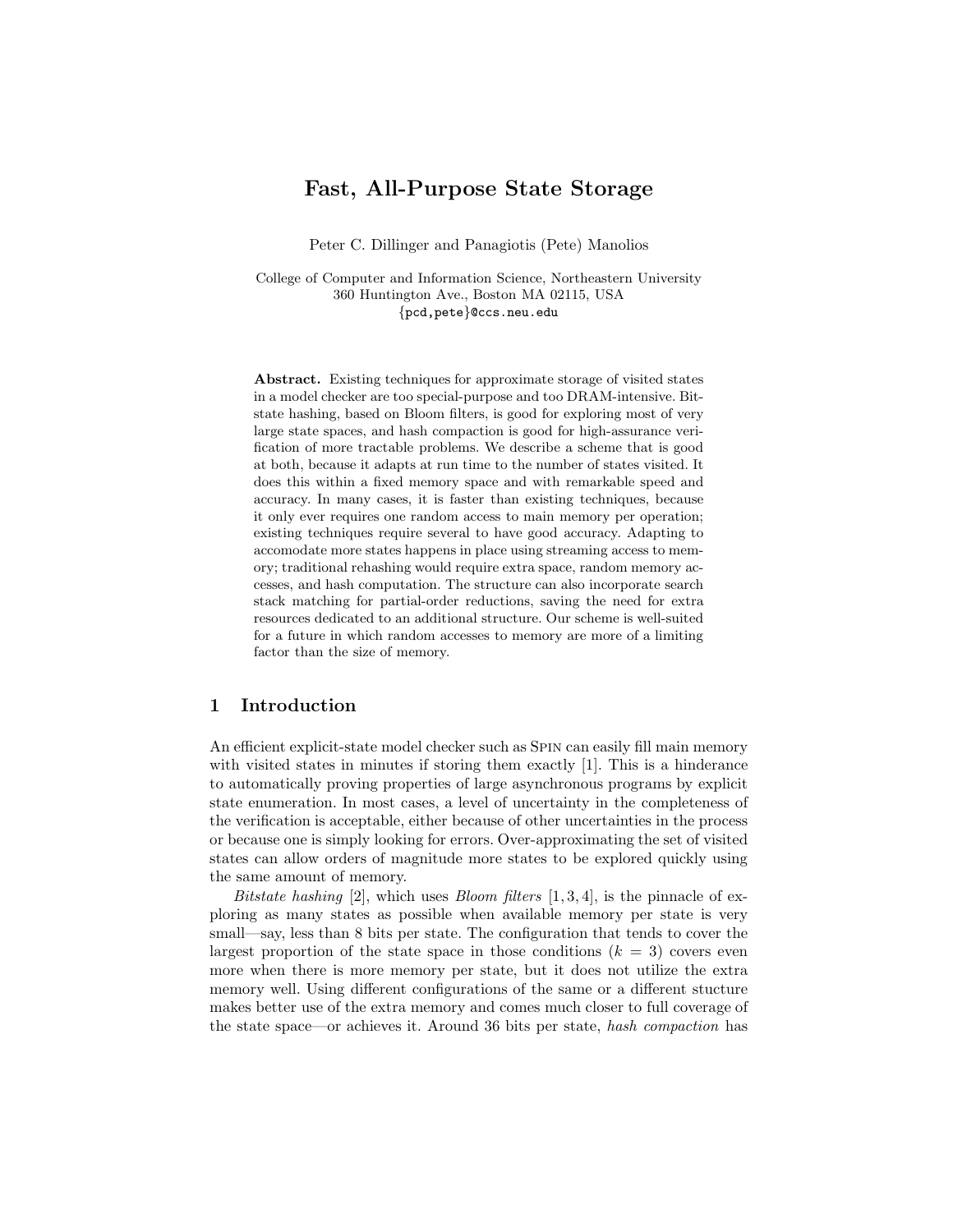# Fast, All-Purpose State Storage

Peter C. Dillinger and Panagiotis (Pete) Manolios

College of Computer and Information Science, Northeastern University 360 Huntington Ave., Boston MA 02115, USA {pcd,pete}@ccs.neu.edu

Abstract. Existing techniques for approximate storage of visited states in a model checker are too special-purpose and too DRAM-intensive. Bitstate hashing, based on Bloom filters, is good for exploring most of very large state spaces, and hash compaction is good for high-assurance verification of more tractable problems. We describe a scheme that is good at both, because it adapts at run time to the number of states visited. It does this within a fixed memory space and with remarkable speed and accuracy. In many cases, it is faster than existing techniques, because it only ever requires one random access to main memory per operation; existing techniques require several to have good accuracy. Adapting to accomodate more states happens in place using streaming access to memory; traditional rehashing would require extra space, random memory accesses, and hash computation. The structure can also incorporate search stack matching for partial-order reductions, saving the need for extra resources dedicated to an additional structure. Our scheme is well-suited for a future in which random accesses to memory are more of a limiting factor than the size of memory.

# 1 Introduction

An efficient explicit-state model checker such as Spin can easily fill main memory with visited states in minutes if storing them exactly [1]. This is a hinderance to automatically proving properties of large asynchronous programs by explicit state enumeration. In most cases, a level of uncertainty in the completeness of the verification is acceptable, either because of other uncertainties in the process or because one is simply looking for errors. Over-approximating the set of visited states can allow orders of magnitude more states to be explored quickly using the same amount of memory.

*Bitstate hashing* [2], which uses *Bloom filters* [1, 3, 4], is the pinnacle of exploring as many states as possible when available memory per state is very small—say, less than 8 bits per state. The configuration that tends to cover the largest proportion of the state space in those conditions  $(k = 3)$  covers even more when there is more memory per state, but it does not utilize the extra memory well. Using different configurations of the same or a different stucture makes better use of the extra memory and comes much closer to full coverage of the state space—or achieves it. Around 36 bits per state, hash compaction has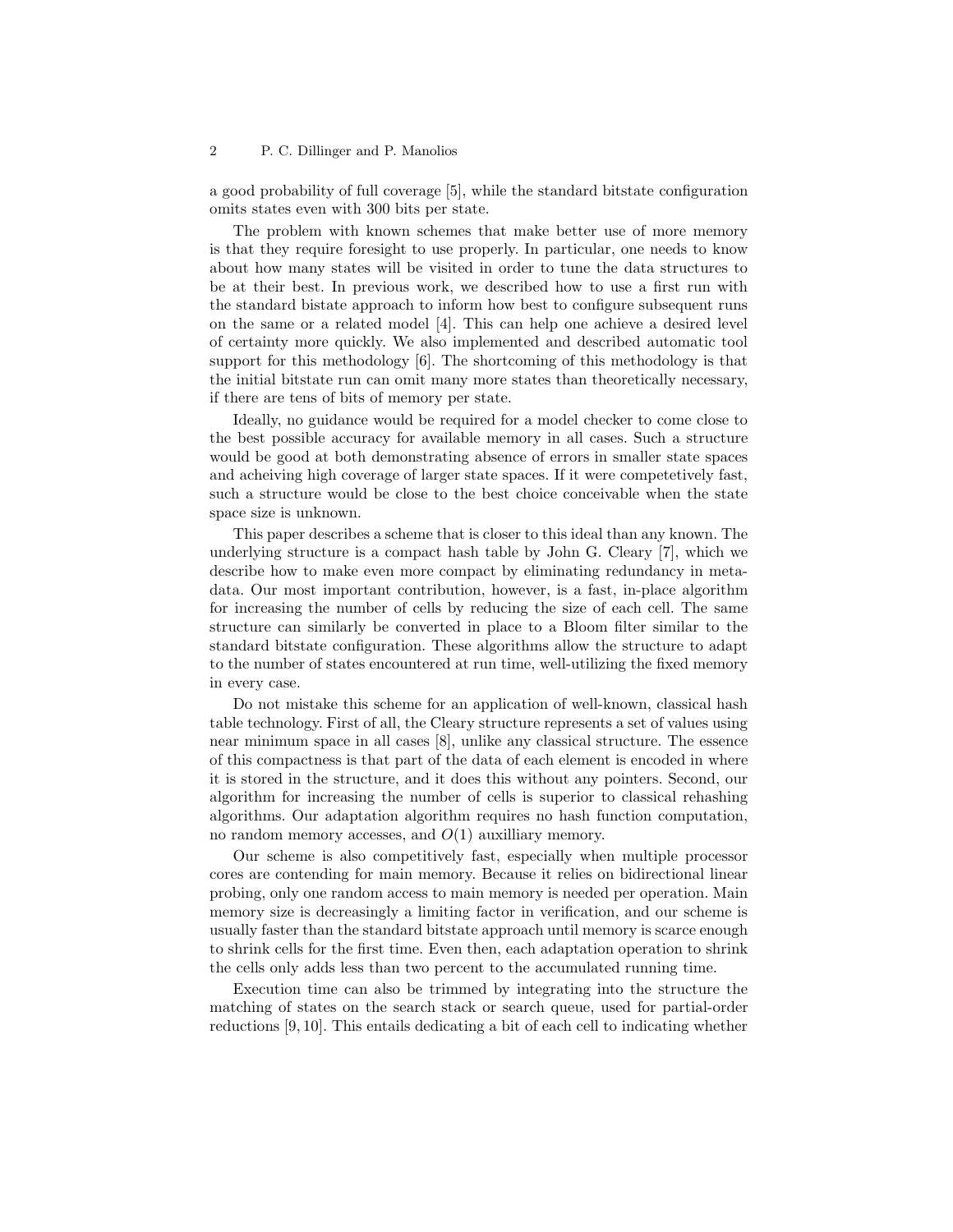a good probability of full coverage [5], while the standard bitstate configuration omits states even with 300 bits per state.

The problem with known schemes that make better use of more memory is that they require foresight to use properly. In particular, one needs to know about how many states will be visited in order to tune the data structures to be at their best. In previous work, we described how to use a first run with the standard bistate approach to inform how best to configure subsequent runs on the same or a related model [4]. This can help one achieve a desired level of certainty more quickly. We also implemented and described automatic tool support for this methodology [6]. The shortcoming of this methodology is that the initial bitstate run can omit many more states than theoretically necessary, if there are tens of bits of memory per state.

Ideally, no guidance would be required for a model checker to come close to the best possible accuracy for available memory in all cases. Such a structure would be good at both demonstrating absence of errors in smaller state spaces and acheiving high coverage of larger state spaces. If it were competetively fast, such a structure would be close to the best choice conceivable when the state space size is unknown.

This paper describes a scheme that is closer to this ideal than any known. The underlying structure is a compact hash table by John G. Cleary [7], which we describe how to make even more compact by eliminating redundancy in metadata. Our most important contribution, however, is a fast, in-place algorithm for increasing the number of cells by reducing the size of each cell. The same structure can similarly be converted in place to a Bloom filter similar to the standard bitstate configuration. These algorithms allow the structure to adapt to the number of states encountered at run time, well-utilizing the fixed memory in every case.

Do not mistake this scheme for an application of well-known, classical hash table technology. First of all, the Cleary structure represents a set of values using near minimum space in all cases [8], unlike any classical structure. The essence of this compactness is that part of the data of each element is encoded in where it is stored in the structure, and it does this without any pointers. Second, our algorithm for increasing the number of cells is superior to classical rehashing algorithms. Our adaptation algorithm requires no hash function computation, no random memory accesses, and  $O(1)$  auxilliary memory.

Our scheme is also competitively fast, especially when multiple processor cores are contending for main memory. Because it relies on bidirectional linear probing, only one random access to main memory is needed per operation. Main memory size is decreasingly a limiting factor in verification, and our scheme is usually faster than the standard bitstate approach until memory is scarce enough to shrink cells for the first time. Even then, each adaptation operation to shrink the cells only adds less than two percent to the accumulated running time.

Execution time can also be trimmed by integrating into the structure the matching of states on the search stack or search queue, used for partial-order reductions [9, 10]. This entails dedicating a bit of each cell to indicating whether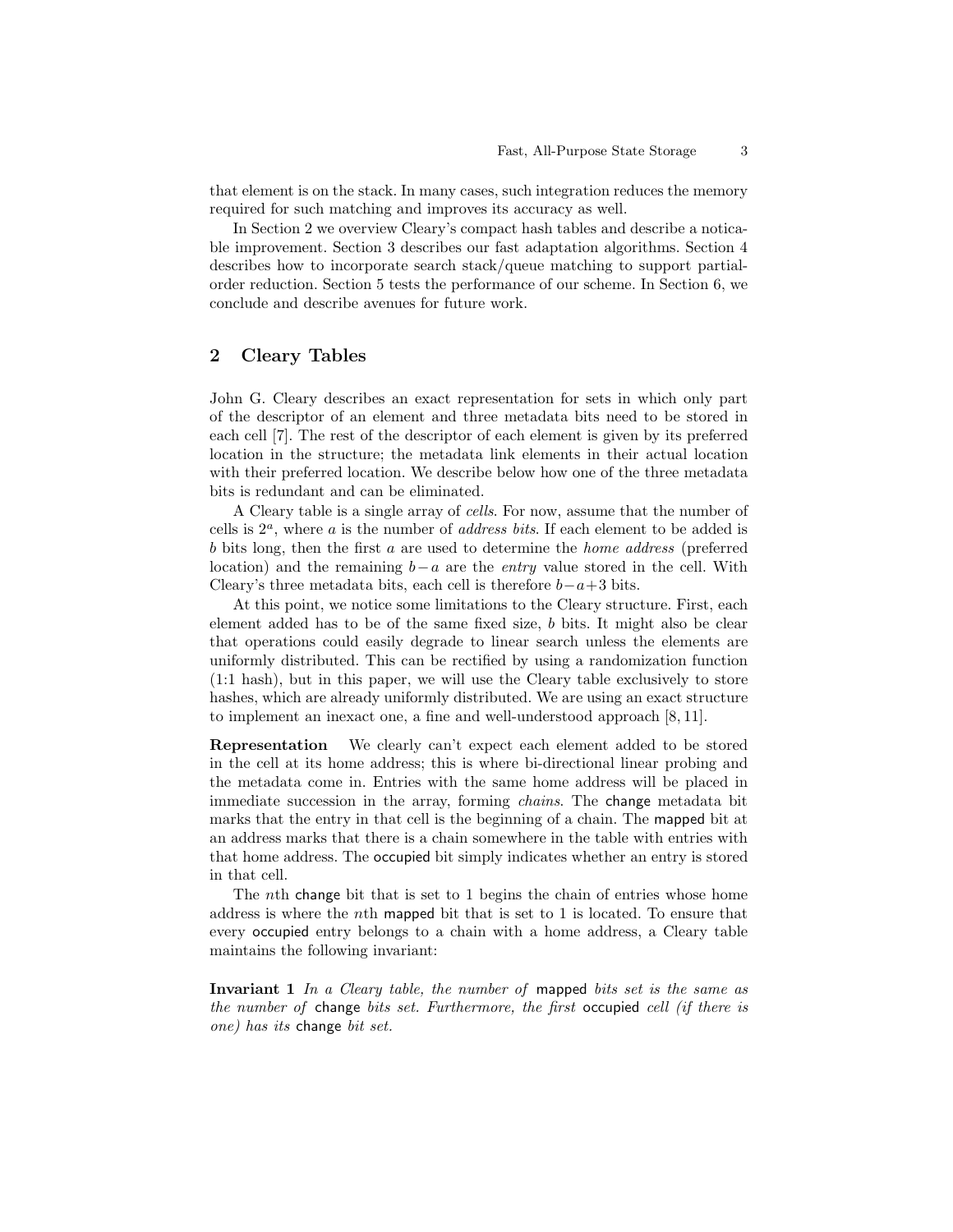that element is on the stack. In many cases, such integration reduces the memory required for such matching and improves its accuracy as well.

In Section 2 we overview Cleary's compact hash tables and describe a noticable improvement. Section 3 describes our fast adaptation algorithms. Section 4 describes how to incorporate search stack/queue matching to support partialorder reduction. Section 5 tests the performance of our scheme. In Section 6, we conclude and describe avenues for future work.

# 2 Cleary Tables

John G. Cleary describes an exact representation for sets in which only part of the descriptor of an element and three metadata bits need to be stored in each cell [7]. The rest of the descriptor of each element is given by its preferred location in the structure; the metadata link elements in their actual location with their preferred location. We describe below how one of the three metadata bits is redundant and can be eliminated.

A Cleary table is a single array of cells. For now, assume that the number of cells is  $2^a$ , where a is the number of *address bits*. If each element to be added is b bits long, then the first a are used to determine the home address (preferred location) and the remaining  $b-a$  are the *entry* value stored in the cell. With Cleary's three metadata bits, each cell is therefore  $b-a+3$  bits.

At this point, we notice some limitations to the Cleary structure. First, each element added has to be of the same fixed size, b bits. It might also be clear that operations could easily degrade to linear search unless the elements are uniformly distributed. This can be rectified by using a randomization function (1:1 hash), but in this paper, we will use the Cleary table exclusively to store hashes, which are already uniformly distributed. We are using an exact structure to implement an inexact one, a fine and well-understood approach [8, 11].

Representation We clearly can't expect each element added to be stored in the cell at its home address; this is where bi-directional linear probing and the metadata come in. Entries with the same home address will be placed in immediate succession in the array, forming chains. The change metadata bit marks that the entry in that cell is the beginning of a chain. The mapped bit at an address marks that there is a chain somewhere in the table with entries with that home address. The occupied bit simply indicates whether an entry is stored in that cell.

The nth change bit that is set to 1 begins the chain of entries whose home address is where the nth mapped bit that is set to 1 is located. To ensure that every occupied entry belongs to a chain with a home address, a Cleary table maintains the following invariant:

**Invariant 1** In a Cleary table, the number of mapped bits set is the same as the number of change bits set. Furthermore, the first occupied cell (if there is one) has its change bit set.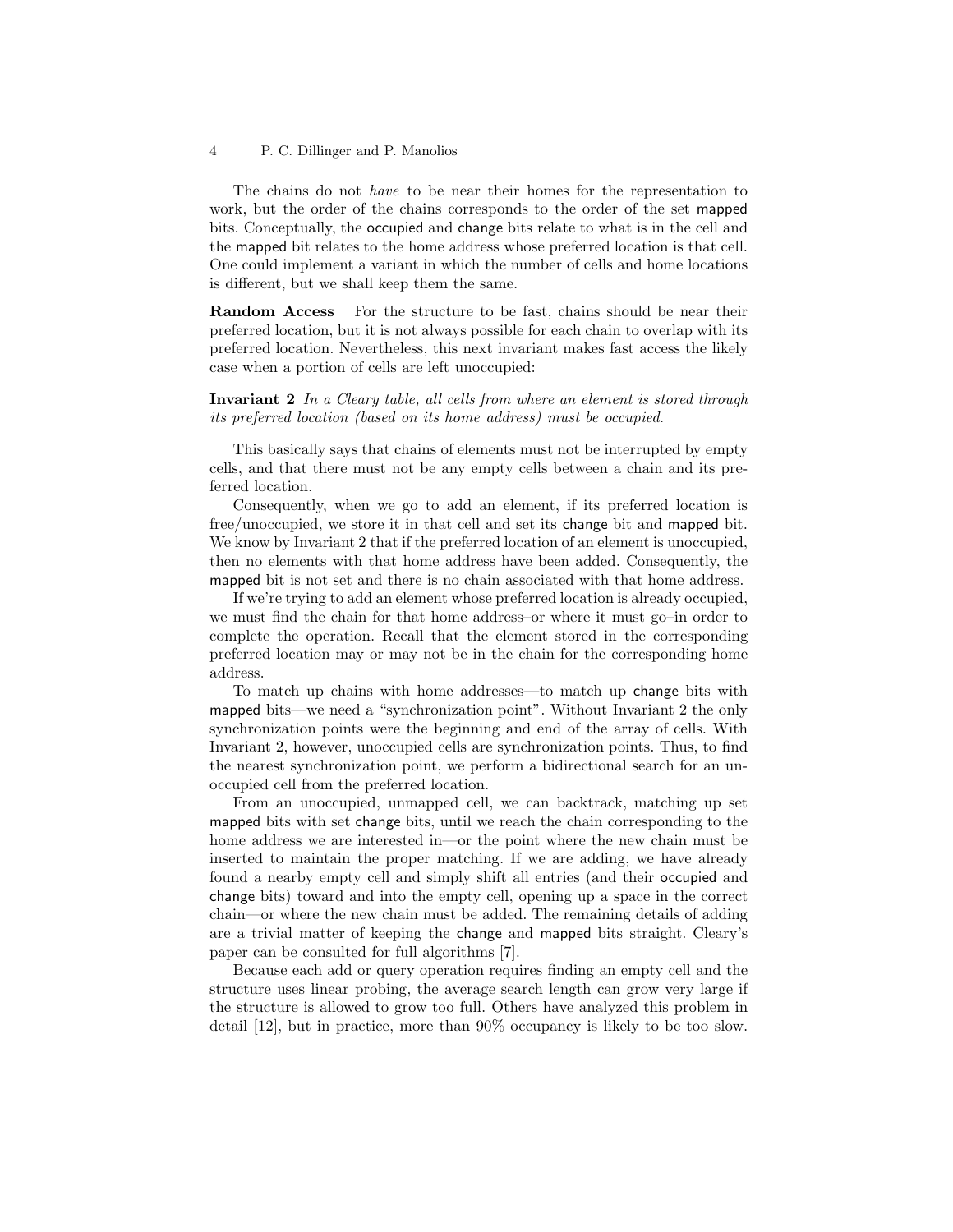The chains do not have to be near their homes for the representation to work, but the order of the chains corresponds to the order of the set mapped bits. Conceptually, the occupied and change bits relate to what is in the cell and the mapped bit relates to the home address whose preferred location is that cell. One could implement a variant in which the number of cells and home locations is different, but we shall keep them the same.

Random Access For the structure to be fast, chains should be near their preferred location, but it is not always possible for each chain to overlap with its preferred location. Nevertheless, this next invariant makes fast access the likely case when a portion of cells are left unoccupied:

Invariant 2 In a Cleary table, all cells from where an element is stored through its preferred location (based on its home address) must be occupied.

This basically says that chains of elements must not be interrupted by empty cells, and that there must not be any empty cells between a chain and its preferred location.

Consequently, when we go to add an element, if its preferred location is free/unoccupied, we store it in that cell and set its change bit and mapped bit. We know by Invariant 2 that if the preferred location of an element is unoccupied, then no elements with that home address have been added. Consequently, the mapped bit is not set and there is no chain associated with that home address.

If we're trying to add an element whose preferred location is already occupied, we must find the chain for that home address–or where it must go–in order to complete the operation. Recall that the element stored in the corresponding preferred location may or may not be in the chain for the corresponding home address.

To match up chains with home addresses—to match up change bits with mapped bits—we need a "synchronization point". Without Invariant 2 the only synchronization points were the beginning and end of the array of cells. With Invariant 2, however, unoccupied cells are synchronization points. Thus, to find the nearest synchronization point, we perform a bidirectional search for an unoccupied cell from the preferred location.

From an unoccupied, unmapped cell, we can backtrack, matching up set mapped bits with set change bits, until we reach the chain corresponding to the home address we are interested in—or the point where the new chain must be inserted to maintain the proper matching. If we are adding, we have already found a nearby empty cell and simply shift all entries (and their occupied and change bits) toward and into the empty cell, opening up a space in the correct chain—or where the new chain must be added. The remaining details of adding are a trivial matter of keeping the change and mapped bits straight. Cleary's paper can be consulted for full algorithms [7].

Because each add or query operation requires finding an empty cell and the structure uses linear probing, the average search length can grow very large if the structure is allowed to grow too full. Others have analyzed this problem in detail [12], but in practice, more than 90% occupancy is likely to be too slow.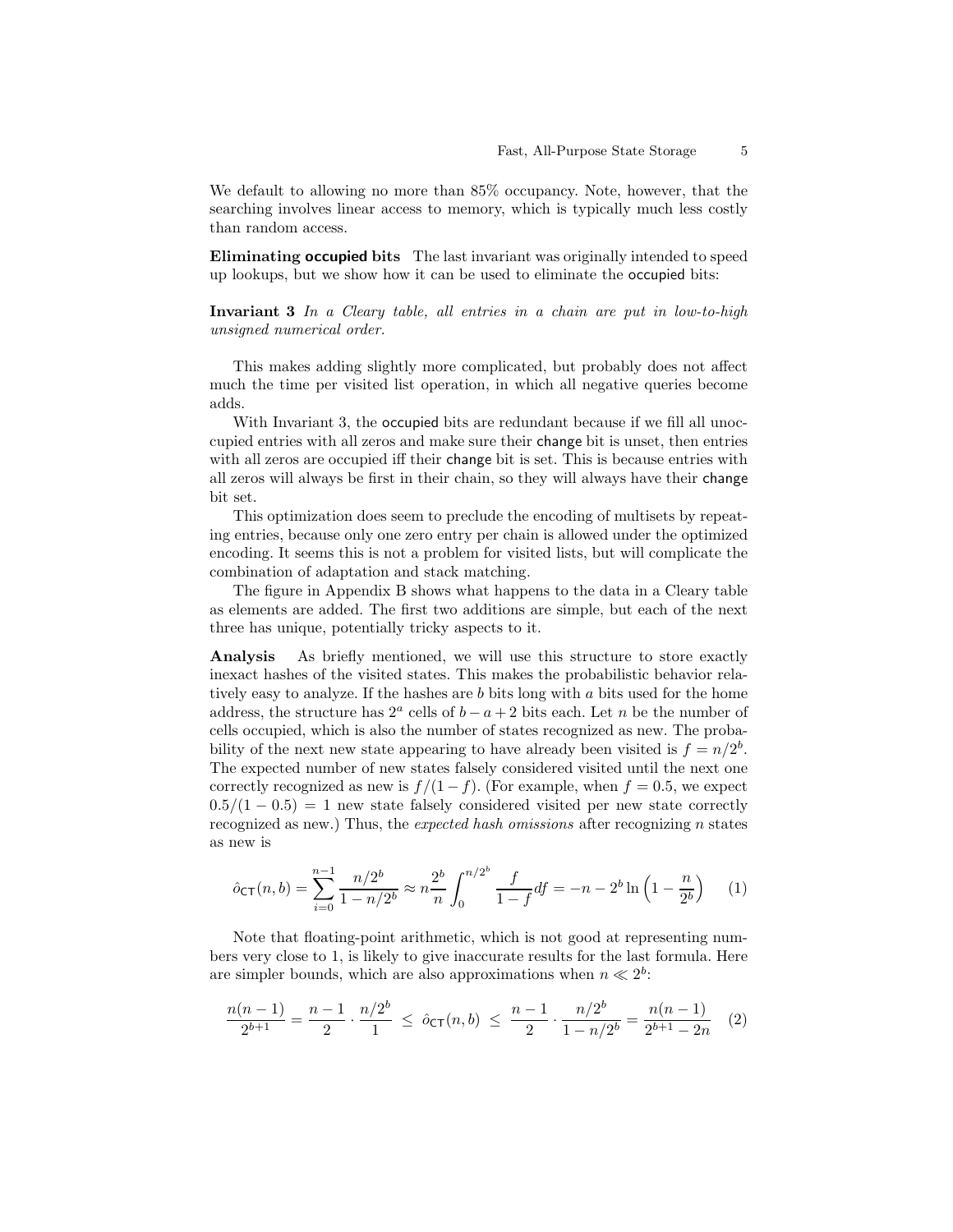We default to allowing no more than 85% occupancy. Note, however, that the searching involves linear access to memory, which is typically much less costly than random access.

Eliminating occupied bits The last invariant was originally intended to speed up lookups, but we show how it can be used to eliminate the occupied bits:

Invariant 3 In a Cleary table, all entries in a chain are put in low-to-high unsigned numerical order.

This makes adding slightly more complicated, but probably does not affect much the time per visited list operation, in which all negative queries become adds.

With Invariant 3, the occupied bits are redundant because if we fill all unoccupied entries with all zeros and make sure their change bit is unset, then entries with all zeros are occupied iff their change bit is set. This is because entries with all zeros will always be first in their chain, so they will always have their change bit set.

This optimization does seem to preclude the encoding of multisets by repeating entries, because only one zero entry per chain is allowed under the optimized encoding. It seems this is not a problem for visited lists, but will complicate the combination of adaptation and stack matching.

The figure in Appendix B shows what happens to the data in a Cleary table as elements are added. The first two additions are simple, but each of the next three has unique, potentially tricky aspects to it.

Analysis As briefly mentioned, we will use this structure to store exactly inexact hashes of the visited states. This makes the probabilistic behavior relatively easy to analyze. If the hashes are b bits long with a bits used for the home address, the structure has  $2^a$  cells of  $b - a + 2$  bits each. Let n be the number of cells occupied, which is also the number of states recognized as new. The probability of the next new state appearing to have already been visited is  $f = n/2^b$ . The expected number of new states falsely considered visited until the next one correctly recognized as new is  $f/(1-f)$ . (For example, when  $f = 0.5$ , we expect  $0.5/(1-0.5) = 1$  new state falsely considered visited per new state correctly recognized as new.) Thus, the *expected hash omissions* after recognizing  $n$  states as new is

$$
\hat{o}_{\text{CT}}(n,b) = \sum_{i=0}^{n-1} \frac{n/2^b}{1 - n/2^b} \approx n \frac{2^b}{n} \int_0^{n/2^b} \frac{f}{1 - f} df = -n - 2^b \ln\left(1 - \frac{n}{2^b}\right) \tag{1}
$$

Note that floating-point arithmetic, which is not good at representing numbers very close to 1, is likely to give inaccurate results for the last formula. Here are simpler bounds, which are also approximations when  $n \ll 2^b$ :

$$
\frac{n(n-1)}{2^{b+1}} = \frac{n-1}{2} \cdot \frac{n/2^b}{1} \le \hat{o}_{\mathsf{CT}}(n, b) \le \frac{n-1}{2} \cdot \frac{n/2^b}{1 - n/2^b} = \frac{n(n-1)}{2^{b+1} - 2n} \tag{2}
$$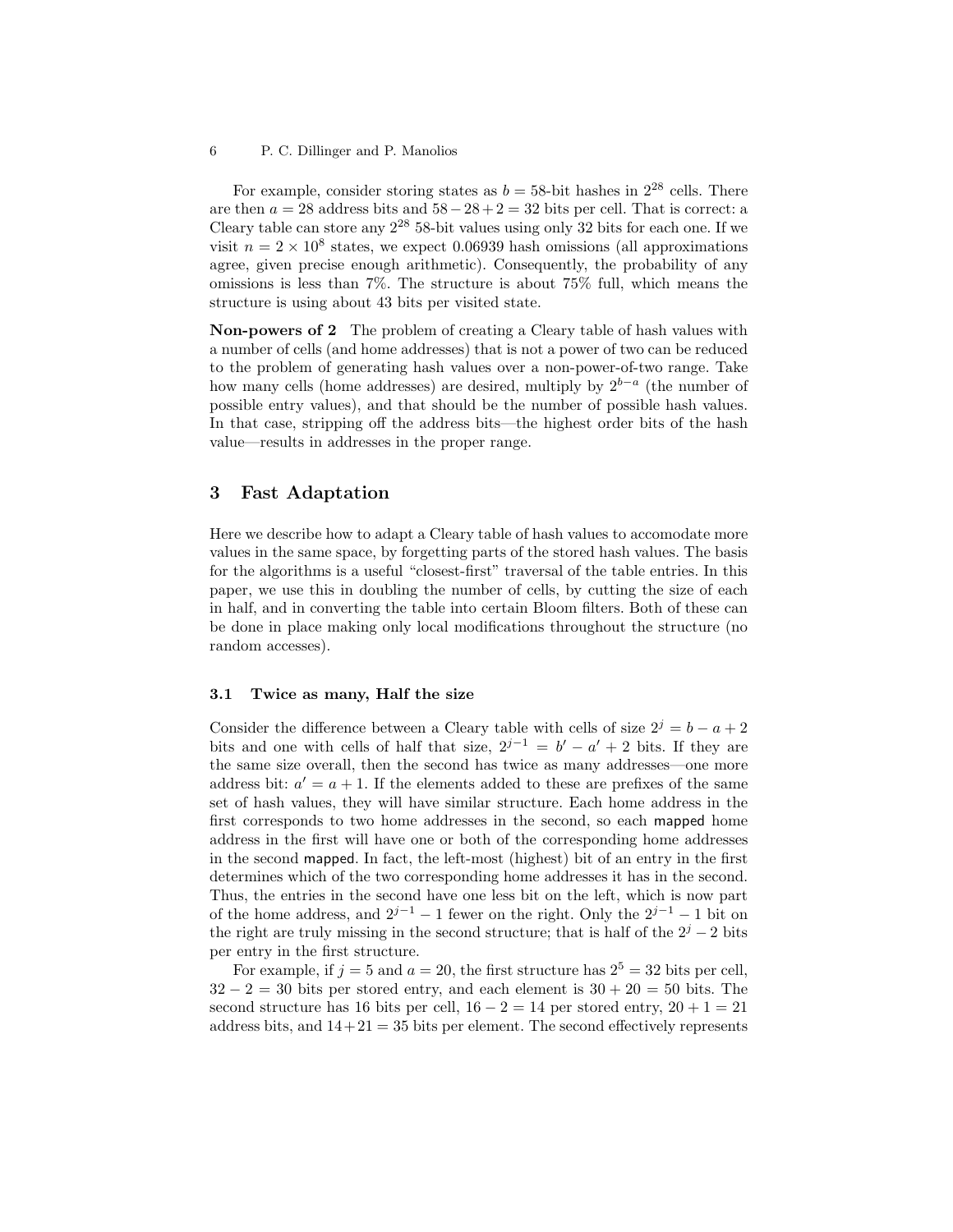For example, consider storing states as  $b = 58$ -bit hashes in  $2^{28}$  cells. There are then  $a = 28$  address bits and  $58-28+2=32$  bits per cell. That is correct: a Cleary table can store any  $2^{28}$  58-bit values using only 32 bits for each one. If we visit  $n = 2 \times 10^8$  states, we expect 0.06939 hash omissions (all approximations agree, given precise enough arithmetic). Consequently, the probability of any omissions is less than 7%. The structure is about 75% full, which means the structure is using about 43 bits per visited state.

Non-powers of 2 The problem of creating a Cleary table of hash values with a number of cells (and home addresses) that is not a power of two can be reduced to the problem of generating hash values over a non-power-of-two range. Take how many cells (home addresses) are desired, multiply by  $2^{b-a}$  (the number of possible entry values), and that should be the number of possible hash values. In that case, stripping off the address bits—the highest order bits of the hash value—results in addresses in the proper range.

### 3 Fast Adaptation

Here we describe how to adapt a Cleary table of hash values to accomodate more values in the same space, by forgetting parts of the stored hash values. The basis for the algorithms is a useful "closest-first" traversal of the table entries. In this paper, we use this in doubling the number of cells, by cutting the size of each in half, and in converting the table into certain Bloom filters. Both of these can be done in place making only local modifications throughout the structure (no random accesses).

### 3.1 Twice as many, Half the size

Consider the difference between a Cleary table with cells of size  $2^{j} = b - a + 2$ bits and one with cells of half that size,  $2^{j-1} = b' - a' + 2$  bits. If they are the same size overall, then the second has twice as many addresses—one more address bit:  $a' = a + 1$ . If the elements added to these are prefixes of the same set of hash values, they will have similar structure. Each home address in the first corresponds to two home addresses in the second, so each mapped home address in the first will have one or both of the corresponding home addresses in the second mapped. In fact, the left-most (highest) bit of an entry in the first determines which of the two corresponding home addresses it has in the second. Thus, the entries in the second have one less bit on the left, which is now part of the home address, and  $2^{j-1} - 1$  fewer on the right. Only the  $2^{j-1} - 1$  bit on the right are truly missing in the second structure; that is half of the  $2<sup>j</sup> - 2$  bits per entry in the first structure.

For example, if  $j = 5$  and  $a = 20$ , the first structure has  $2^5 = 32$  bits per cell,  $32 - 2 = 30$  bits per stored entry, and each element is  $30 + 20 = 50$  bits. The second structure has 16 bits per cell,  $16 - 2 = 14$  per stored entry,  $20 + 1 = 21$ address bits, and  $14+21=35$  bits per element. The second effectively represents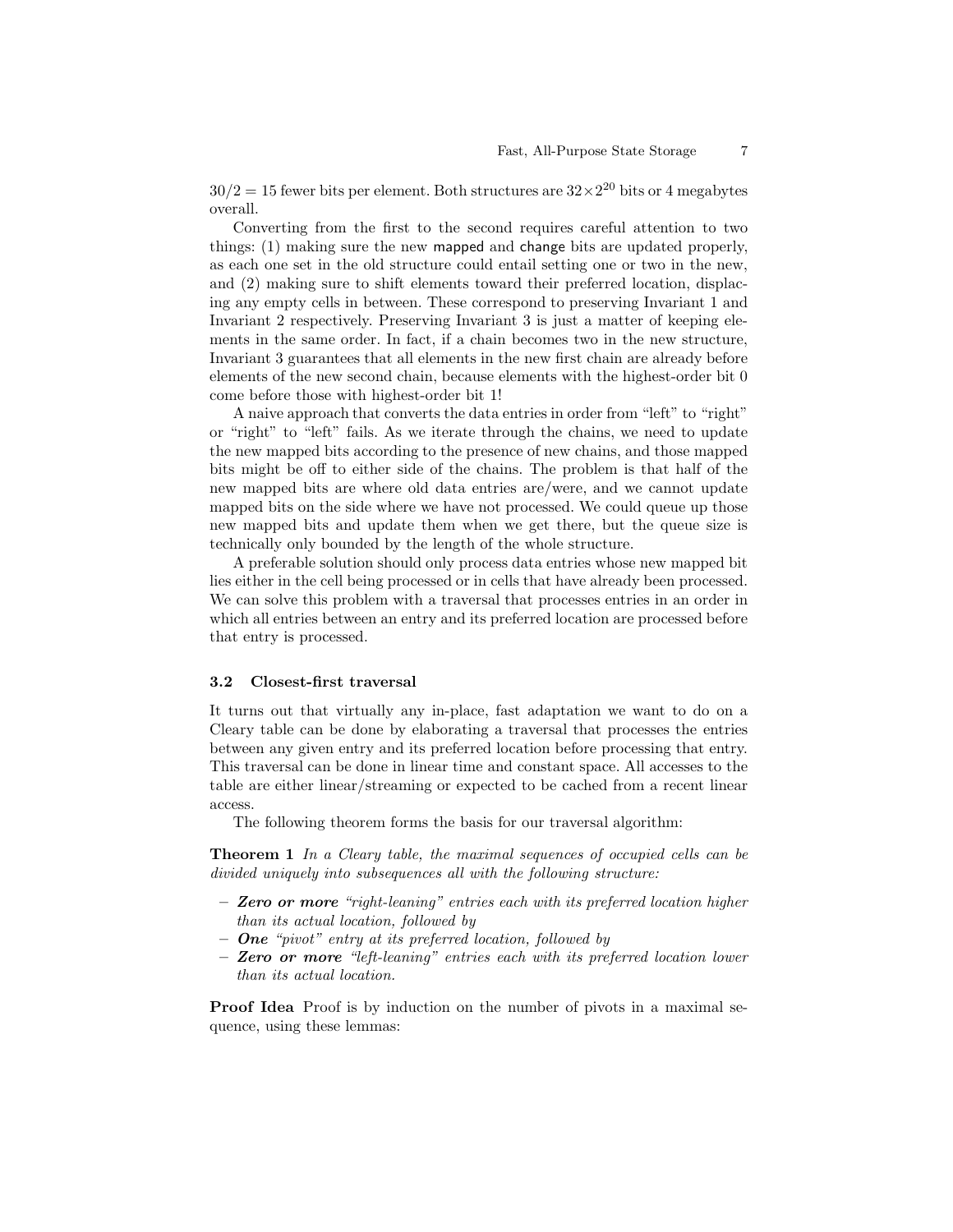$30/2 = 15$  fewer bits per element. Both structures are  $32 \times 2^{20}$  bits or 4 megabytes overall.

Converting from the first to the second requires careful attention to two things: (1) making sure the new mapped and change bits are updated properly, as each one set in the old structure could entail setting one or two in the new, and (2) making sure to shift elements toward their preferred location, displacing any empty cells in between. These correspond to preserving Invariant 1 and Invariant 2 respectively. Preserving Invariant 3 is just a matter of keeping elements in the same order. In fact, if a chain becomes two in the new structure, Invariant 3 guarantees that all elements in the new first chain are already before elements of the new second chain, because elements with the highest-order bit 0 come before those with highest-order bit 1!

A naive approach that converts the data entries in order from "left" to "right" or "right" to "left" fails. As we iterate through the chains, we need to update the new mapped bits according to the presence of new chains, and those mapped bits might be off to either side of the chains. The problem is that half of the new mapped bits are where old data entries are/were, and we cannot update mapped bits on the side where we have not processed. We could queue up those new mapped bits and update them when we get there, but the queue size is technically only bounded by the length of the whole structure.

A preferable solution should only process data entries whose new mapped bit lies either in the cell being processed or in cells that have already been processed. We can solve this problem with a traversal that processes entries in an order in which all entries between an entry and its preferred location are processed before that entry is processed.

#### 3.2 Closest-first traversal

It turns out that virtually any in-place, fast adaptation we want to do on a Cleary table can be done by elaborating a traversal that processes the entries between any given entry and its preferred location before processing that entry. This traversal can be done in linear time and constant space. All accesses to the table are either linear/streaming or expected to be cached from a recent linear access.

The following theorem forms the basis for our traversal algorithm:

Theorem 1 In a Cleary table, the maximal sequences of occupied cells can be divided uniquely into subsequences all with the following structure:

- $-$  Zero or more "right-leaning" entries each with its preferred location higher than its actual location, followed by
- $-$  **One** "pivot" entry at its preferred location, followed by
- Zero or more "left-leaning" entries each with its preferred location lower than its actual location.

Proof Idea Proof is by induction on the number of pivots in a maximal sequence, using these lemmas: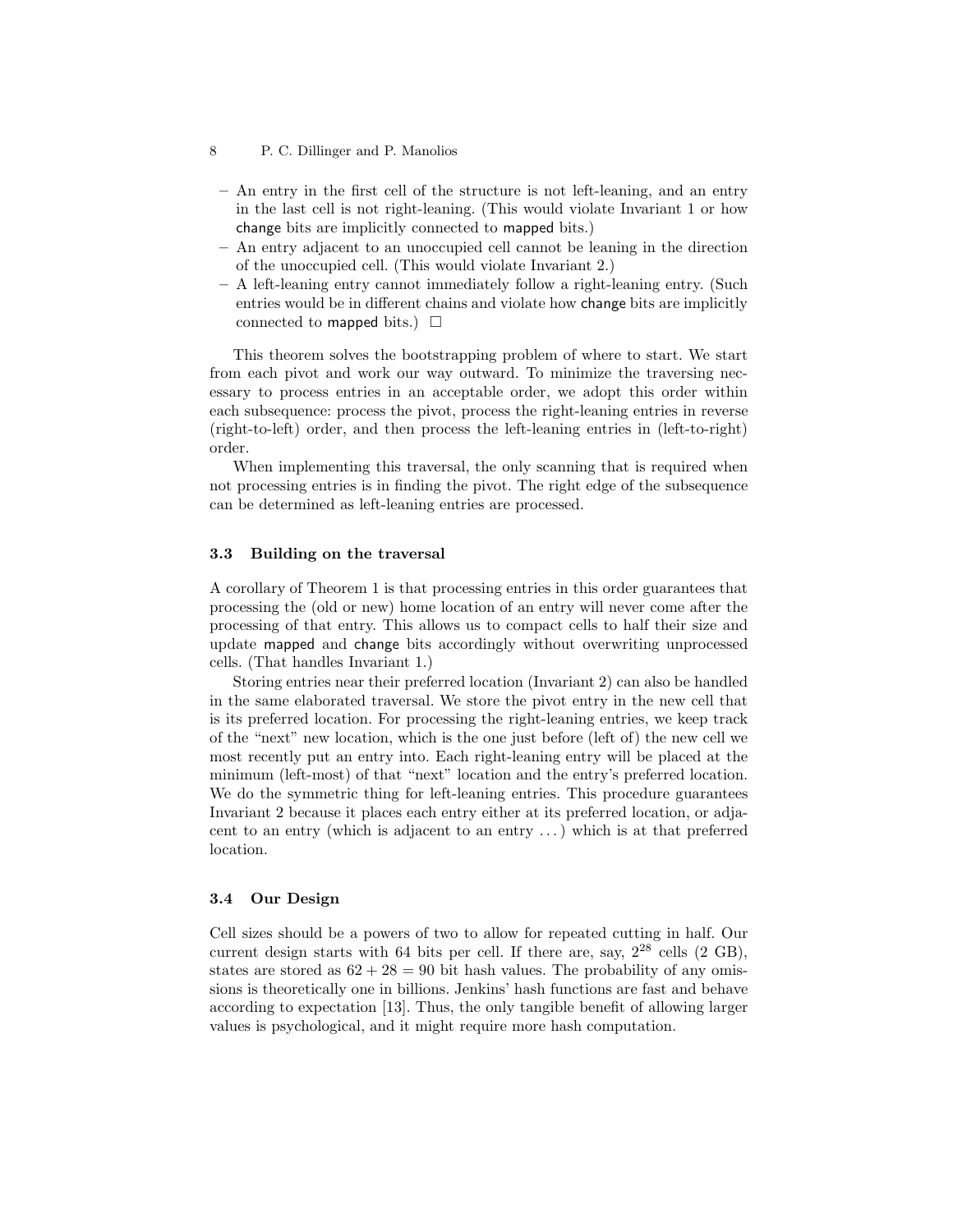- An entry in the first cell of the structure is not left-leaning, and an entry in the last cell is not right-leaning. (This would violate Invariant 1 or how change bits are implicitly connected to mapped bits.)
- An entry adjacent to an unoccupied cell cannot be leaning in the direction of the unoccupied cell. (This would violate Invariant 2.)
- A left-leaning entry cannot immediately follow a right-leaning entry. (Such entries would be in different chains and violate how change bits are implicitly connected to mapped bits.)  $\Box$

This theorem solves the bootstrapping problem of where to start. We start from each pivot and work our way outward. To minimize the traversing necessary to process entries in an acceptable order, we adopt this order within each subsequence: process the pivot, process the right-leaning entries in reverse (right-to-left) order, and then process the left-leaning entries in (left-to-right) order.

When implementing this traversal, the only scanning that is required when not processing entries is in finding the pivot. The right edge of the subsequence can be determined as left-leaning entries are processed.

### 3.3 Building on the traversal

A corollary of Theorem 1 is that processing entries in this order guarantees that processing the (old or new) home location of an entry will never come after the processing of that entry. This allows us to compact cells to half their size and update mapped and change bits accordingly without overwriting unprocessed cells. (That handles Invariant 1.)

Storing entries near their preferred location (Invariant 2) can also be handled in the same elaborated traversal. We store the pivot entry in the new cell that is its preferred location. For processing the right-leaning entries, we keep track of the "next" new location, which is the one just before (left of) the new cell we most recently put an entry into. Each right-leaning entry will be placed at the minimum (left-most) of that "next" location and the entry's preferred location. We do the symmetric thing for left-leaning entries. This procedure guarantees Invariant 2 because it places each entry either at its preferred location, or adjacent to an entry (which is adjacent to an entry . . . ) which is at that preferred location.

### 3.4 Our Design

Cell sizes should be a powers of two to allow for repeated cutting in half. Our current design starts with 64 bits per cell. If there are, say,  $2^{28}$  cells  $(2 \text{ GB})$ , states are stored as  $62 + 28 = 90$  bit hash values. The probability of any omissions is theoretically one in billions. Jenkins' hash functions are fast and behave according to expectation [13]. Thus, the only tangible benefit of allowing larger values is psychological, and it might require more hash computation.

<sup>8</sup> P. C. Dillinger and P. Manolios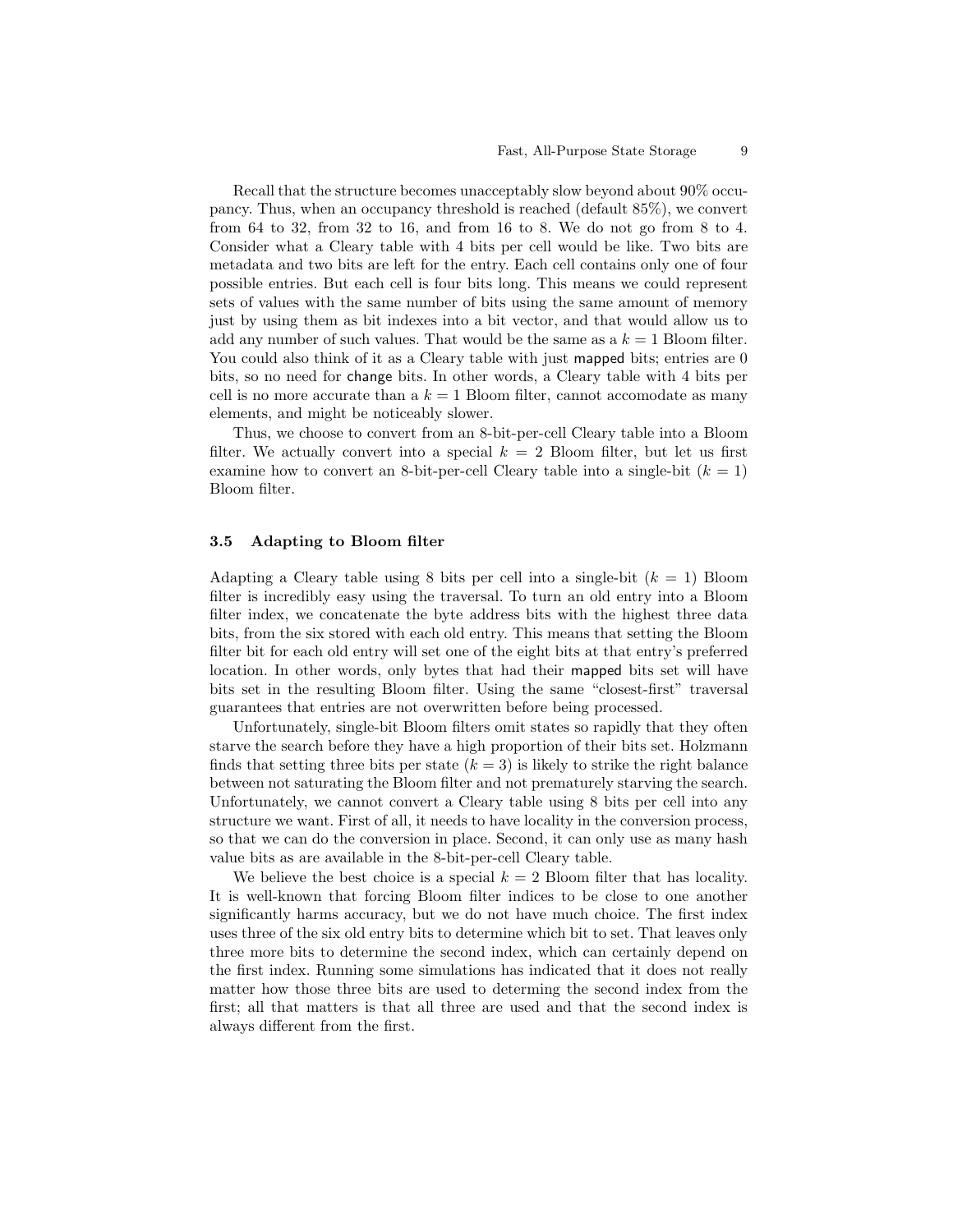Recall that the structure becomes unacceptably slow beyond about 90% occupancy. Thus, when an occupancy threshold is reached (default 85%), we convert from 64 to 32, from 32 to 16, and from 16 to 8. We do not go from 8 to 4. Consider what a Cleary table with 4 bits per cell would be like. Two bits are metadata and two bits are left for the entry. Each cell contains only one of four possible entries. But each cell is four bits long. This means we could represent sets of values with the same number of bits using the same amount of memory just by using them as bit indexes into a bit vector, and that would allow us to add any number of such values. That would be the same as a  $k = 1$  Bloom filter. You could also think of it as a Cleary table with just mapped bits; entries are 0 bits, so no need for change bits. In other words, a Cleary table with 4 bits per cell is no more accurate than a  $k = 1$  Bloom filter, cannot accomodate as many elements, and might be noticeably slower.

Thus, we choose to convert from an 8-bit-per-cell Cleary table into a Bloom filter. We actually convert into a special  $k = 2$  Bloom filter, but let us first examine how to convert an 8-bit-per-cell Cleary table into a single-bit  $(k = 1)$ Bloom filter.

#### 3.5 Adapting to Bloom filter

Adapting a Cleary table using 8 bits per cell into a single-bit  $(k = 1)$  Bloom filter is incredibly easy using the traversal. To turn an old entry into a Bloom filter index, we concatenate the byte address bits with the highest three data bits, from the six stored with each old entry. This means that setting the Bloom filter bit for each old entry will set one of the eight bits at that entry's preferred location. In other words, only bytes that had their mapped bits set will have bits set in the resulting Bloom filter. Using the same "closest-first" traversal guarantees that entries are not overwritten before being processed.

Unfortunately, single-bit Bloom filters omit states so rapidly that they often starve the search before they have a high proportion of their bits set. Holzmann finds that setting three bits per state  $(k = 3)$  is likely to strike the right balance between not saturating the Bloom filter and not prematurely starving the search. Unfortunately, we cannot convert a Cleary table using 8 bits per cell into any structure we want. First of all, it needs to have locality in the conversion process, so that we can do the conversion in place. Second, it can only use as many hash value bits as are available in the 8-bit-per-cell Cleary table.

We believe the best choice is a special  $k = 2$  Bloom filter that has locality. It is well-known that forcing Bloom filter indices to be close to one another significantly harms accuracy, but we do not have much choice. The first index uses three of the six old entry bits to determine which bit to set. That leaves only three more bits to determine the second index, which can certainly depend on the first index. Running some simulations has indicated that it does not really matter how those three bits are used to determing the second index from the first; all that matters is that all three are used and that the second index is always different from the first.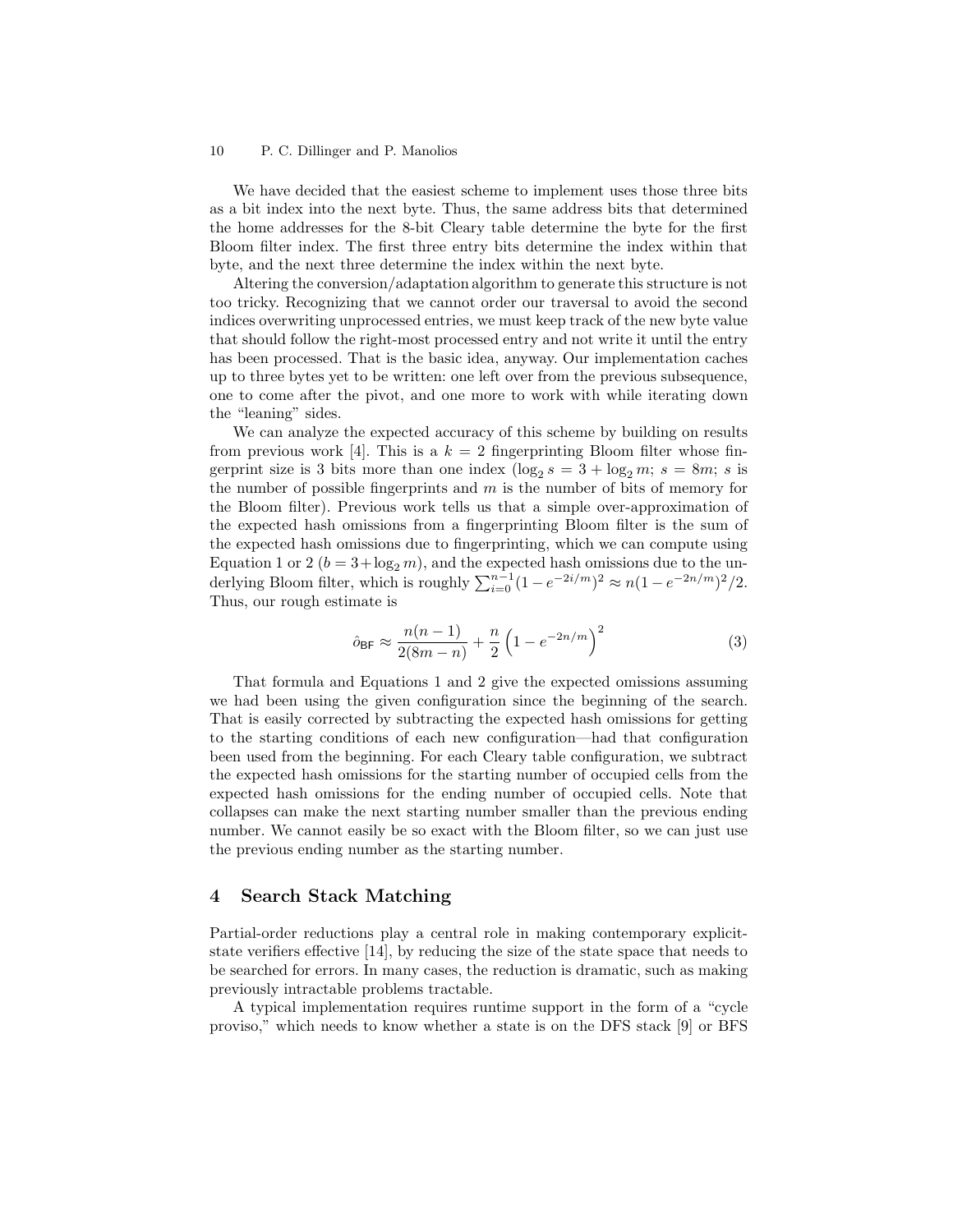We have decided that the easiest scheme to implement uses those three bits as a bit index into the next byte. Thus, the same address bits that determined the home addresses for the 8-bit Cleary table determine the byte for the first Bloom filter index. The first three entry bits determine the index within that byte, and the next three determine the index within the next byte.

Altering the conversion/adaptation algorithm to generate this structure is not too tricky. Recognizing that we cannot order our traversal to avoid the second indices overwriting unprocessed entries, we must keep track of the new byte value that should follow the right-most processed entry and not write it until the entry has been processed. That is the basic idea, anyway. Our implementation caches up to three bytes yet to be written: one left over from the previous subsequence, one to come after the pivot, and one more to work with while iterating down the "leaning" sides.

We can analyze the expected accuracy of this scheme by building on results from previous work [4]. This is a  $k = 2$  fingerprinting Bloom filter whose fingerprint size is 3 bits more than one index  $(\log_2 s = 3 + \log_2 m; s = 8m; s$  is the number of possible fingerprints and  $m$  is the number of bits of memory for the Bloom filter). Previous work tells us that a simple over-approximation of the expected hash omissions from a fingerprinting Bloom filter is the sum of the expected hash omissions due to fingerprinting, which we can compute using Equation 1 or 2 ( $b = 3 + \log_2 m$ ), and the expected hash omissions due to the underlying Bloom filter, which is roughly  $\sum_{i=0}^{n-1} (1 - e^{-2i/m})^2 \approx n(1 - e^{-2n/m})^2/2$ . Thus, our rough estimate is

$$
\hat{\rho}_{\text{BF}} \approx \frac{n(n-1)}{2(8m-n)} + \frac{n}{2} \left( 1 - e^{-2n/m} \right)^2 \tag{3}
$$

That formula and Equations 1 and 2 give the expected omissions assuming we had been using the given configuration since the beginning of the search. That is easily corrected by subtracting the expected hash omissions for getting to the starting conditions of each new configuration—had that configuration been used from the beginning. For each Cleary table configuration, we subtract the expected hash omissions for the starting number of occupied cells from the expected hash omissions for the ending number of occupied cells. Note that collapses can make the next starting number smaller than the previous ending number. We cannot easily be so exact with the Bloom filter, so we can just use the previous ending number as the starting number.

## 4 Search Stack Matching

Partial-order reductions play a central role in making contemporary explicitstate verifiers effective [14], by reducing the size of the state space that needs to be searched for errors. In many cases, the reduction is dramatic, such as making previously intractable problems tractable.

A typical implementation requires runtime support in the form of a "cycle proviso," which needs to know whether a state is on the DFS stack [9] or BFS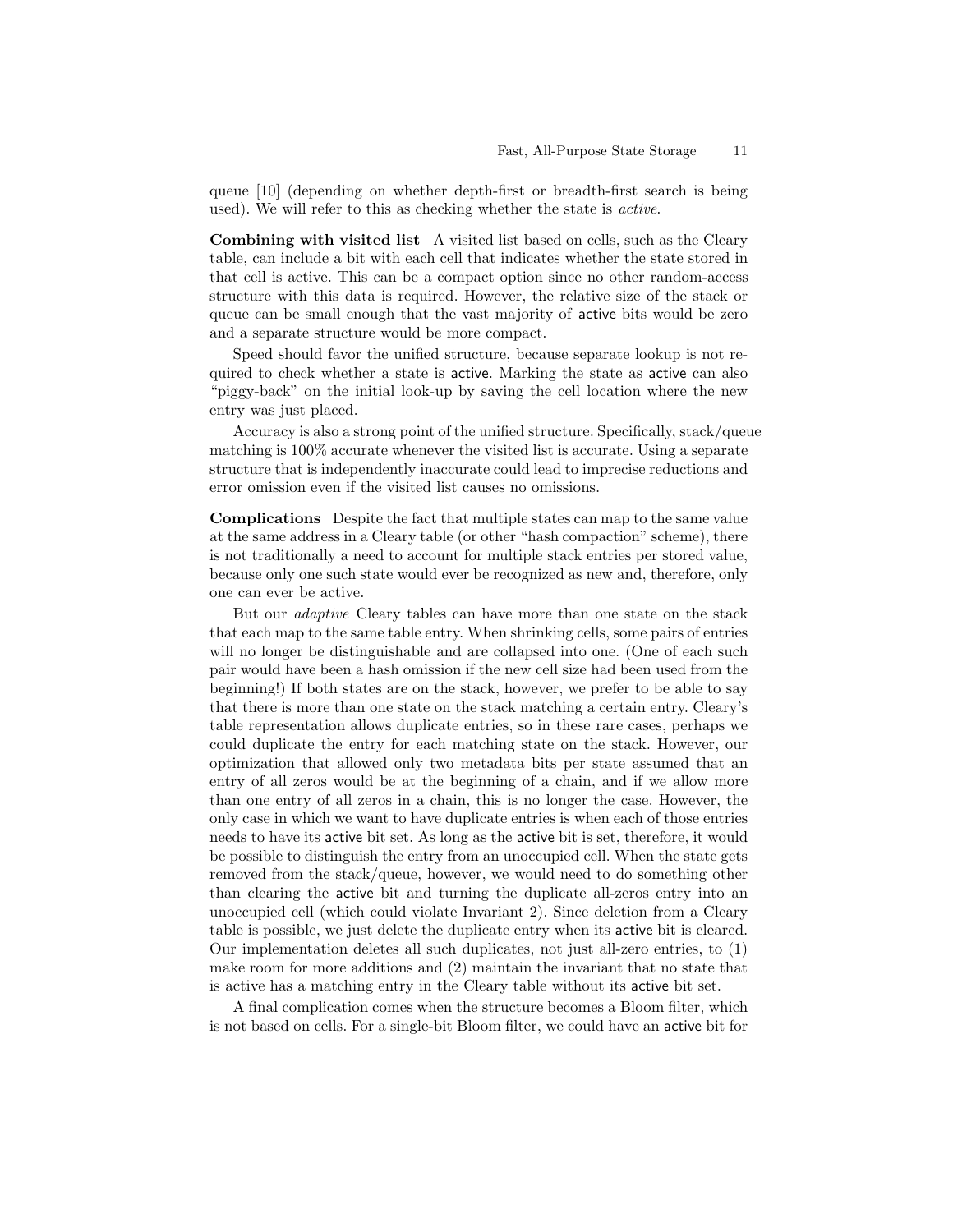queue [10] (depending on whether depth-first or breadth-first search is being used). We will refer to this as checking whether the state is active.

Combining with visited list A visited list based on cells, such as the Cleary table, can include a bit with each cell that indicates whether the state stored in that cell is active. This can be a compact option since no other random-access structure with this data is required. However, the relative size of the stack or queue can be small enough that the vast majority of active bits would be zero and a separate structure would be more compact.

Speed should favor the unified structure, because separate lookup is not required to check whether a state is active. Marking the state as active can also "piggy-back" on the initial look-up by saving the cell location where the new entry was just placed.

Accuracy is also a strong point of the unified structure. Specifically, stack/queue matching is 100% accurate whenever the visited list is accurate. Using a separate structure that is independently inaccurate could lead to imprecise reductions and error omission even if the visited list causes no omissions.

Complications Despite the fact that multiple states can map to the same value at the same address in a Cleary table (or other "hash compaction" scheme), there is not traditionally a need to account for multiple stack entries per stored value, because only one such state would ever be recognized as new and, therefore, only one can ever be active.

But our adaptive Cleary tables can have more than one state on the stack that each map to the same table entry. When shrinking cells, some pairs of entries will no longer be distinguishable and are collapsed into one. (One of each such pair would have been a hash omission if the new cell size had been used from the beginning!) If both states are on the stack, however, we prefer to be able to say that there is more than one state on the stack matching a certain entry. Cleary's table representation allows duplicate entries, so in these rare cases, perhaps we could duplicate the entry for each matching state on the stack. However, our optimization that allowed only two metadata bits per state assumed that an entry of all zeros would be at the beginning of a chain, and if we allow more than one entry of all zeros in a chain, this is no longer the case. However, the only case in which we want to have duplicate entries is when each of those entries needs to have its active bit set. As long as the active bit is set, therefore, it would be possible to distinguish the entry from an unoccupied cell. When the state gets removed from the stack/queue, however, we would need to do something other than clearing the active bit and turning the duplicate all-zeros entry into an unoccupied cell (which could violate Invariant 2). Since deletion from a Cleary table is possible, we just delete the duplicate entry when its active bit is cleared. Our implementation deletes all such duplicates, not just all-zero entries, to (1) make room for more additions and (2) maintain the invariant that no state that is active has a matching entry in the Cleary table without its active bit set.

A final complication comes when the structure becomes a Bloom filter, which is not based on cells. For a single-bit Bloom filter, we could have an active bit for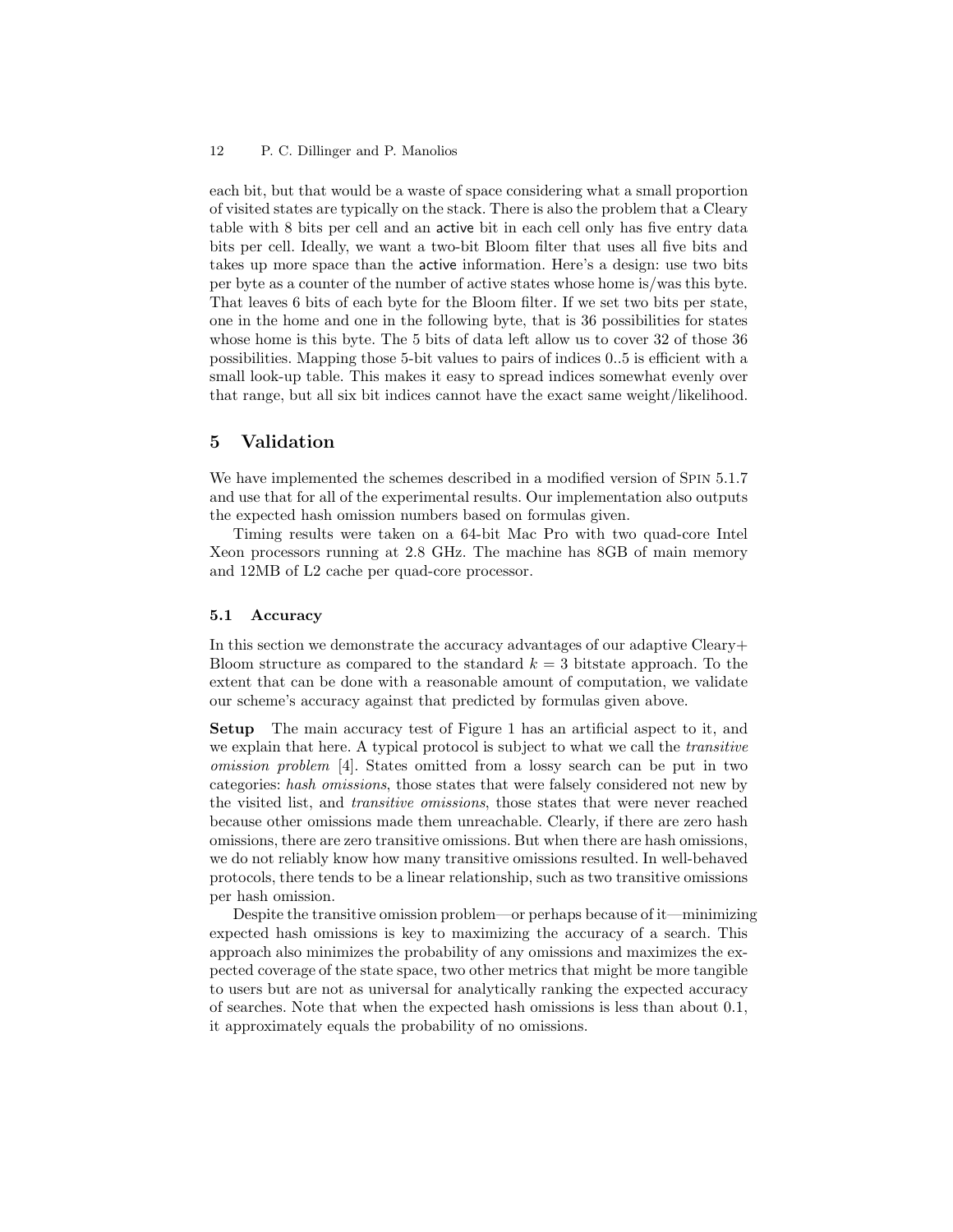each bit, but that would be a waste of space considering what a small proportion of visited states are typically on the stack. There is also the problem that a Cleary table with 8 bits per cell and an active bit in each cell only has five entry data bits per cell. Ideally, we want a two-bit Bloom filter that uses all five bits and takes up more space than the active information. Here's a design: use two bits per byte as a counter of the number of active states whose home is/was this byte. That leaves 6 bits of each byte for the Bloom filter. If we set two bits per state, one in the home and one in the following byte, that is 36 possibilities for states whose home is this byte. The 5 bits of data left allow us to cover 32 of those 36 possibilities. Mapping those 5-bit values to pairs of indices 0..5 is efficient with a small look-up table. This makes it easy to spread indices somewhat evenly over that range, but all six bit indices cannot have the exact same weight/likelihood.

### 5 Validation

We have implemented the schemes described in a modified version of SPIN 5.1.7 and use that for all of the experimental results. Our implementation also outputs the expected hash omission numbers based on formulas given.

Timing results were taken on a 64-bit Mac Pro with two quad-core Intel Xeon processors running at 2.8 GHz. The machine has 8GB of main memory and 12MB of L2 cache per quad-core processor.

### 5.1 Accuracy

In this section we demonstrate the accuracy advantages of our adaptive Cleary+ Bloom structure as compared to the standard  $k = 3$  bitstate approach. To the extent that can be done with a reasonable amount of computation, we validate our scheme's accuracy against that predicted by formulas given above.

Setup The main accuracy test of Figure 1 has an artificial aspect to it, and we explain that here. A typical protocol is subject to what we call the transitive omission problem [4]. States omitted from a lossy search can be put in two categories: hash omissions, those states that were falsely considered not new by the visited list, and transitive omissions, those states that were never reached because other omissions made them unreachable. Clearly, if there are zero hash omissions, there are zero transitive omissions. But when there are hash omissions, we do not reliably know how many transitive omissions resulted. In well-behaved protocols, there tends to be a linear relationship, such as two transitive omissions per hash omission.

Despite the transitive omission problem—or perhaps because of it—minimizing expected hash omissions is key to maximizing the accuracy of a search. This approach also minimizes the probability of any omissions and maximizes the expected coverage of the state space, two other metrics that might be more tangible to users but are not as universal for analytically ranking the expected accuracy of searches. Note that when the expected hash omissions is less than about 0.1, it approximately equals the probability of no omissions.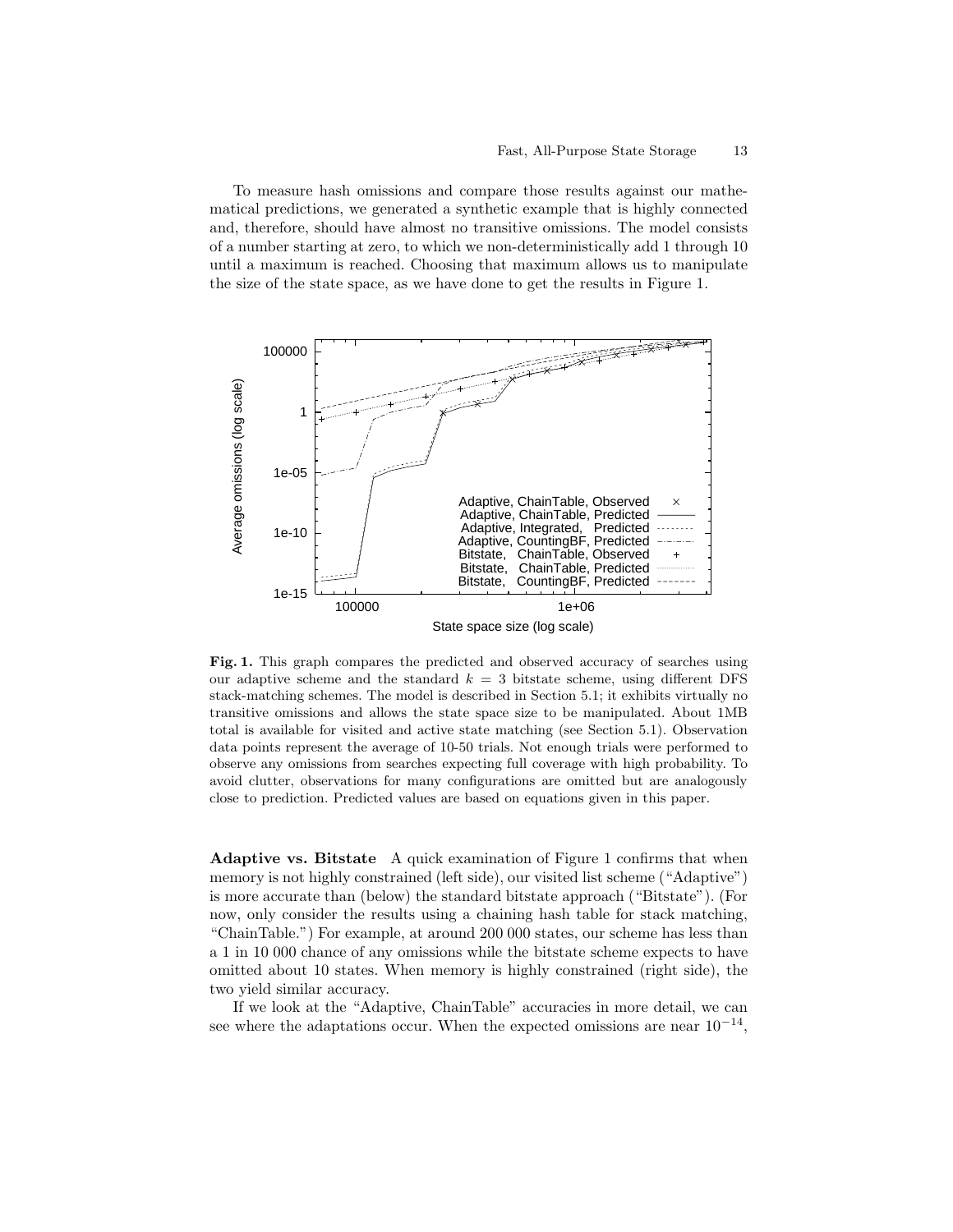To measure hash omissions and compare those results against our mathematical predictions, we generated a synthetic example that is highly connected and, therefore, should have almost no transitive omissions. The model consists of a number starting at zero, to which we non-deterministically add 1 through 10 until a maximum is reached. Choosing that maximum allows us to manipulate the size of the state space, as we have done to get the results in Figure 1.



Fig. 1. This graph compares the predicted and observed accuracy of searches using our adaptive scheme and the standard  $k = 3$  bitstate scheme, using different DFS stack-matching schemes. The model is described in Section 5.1; it exhibits virtually no transitive omissions and allows the state space size to be manipulated. About 1MB total is available for visited and active state matching (see Section 5.1). Observation data points represent the average of 10-50 trials. Not enough trials were performed to observe any omissions from searches expecting full coverage with high probability. To avoid clutter, observations for many configurations are omitted but are analogously close to prediction. Predicted values are based on equations given in this paper.

Adaptive vs. Bitstate A quick examination of Figure 1 confirms that when memory is not highly constrained (left side), our visited list scheme ("Adaptive") is more accurate than (below) the standard bitstate approach ("Bitstate"). (For now, only consider the results using a chaining hash table for stack matching, "ChainTable.") For example, at around 200 000 states, our scheme has less than a 1 in 10 000 chance of any omissions while the bitstate scheme expects to have omitted about 10 states. When memory is highly constrained (right side), the two yield similar accuracy.

If we look at the "Adaptive, ChainTable" accuracies in more detail, we can see where the adaptations occur. When the expected omissions are near  $10^{-14}$ ,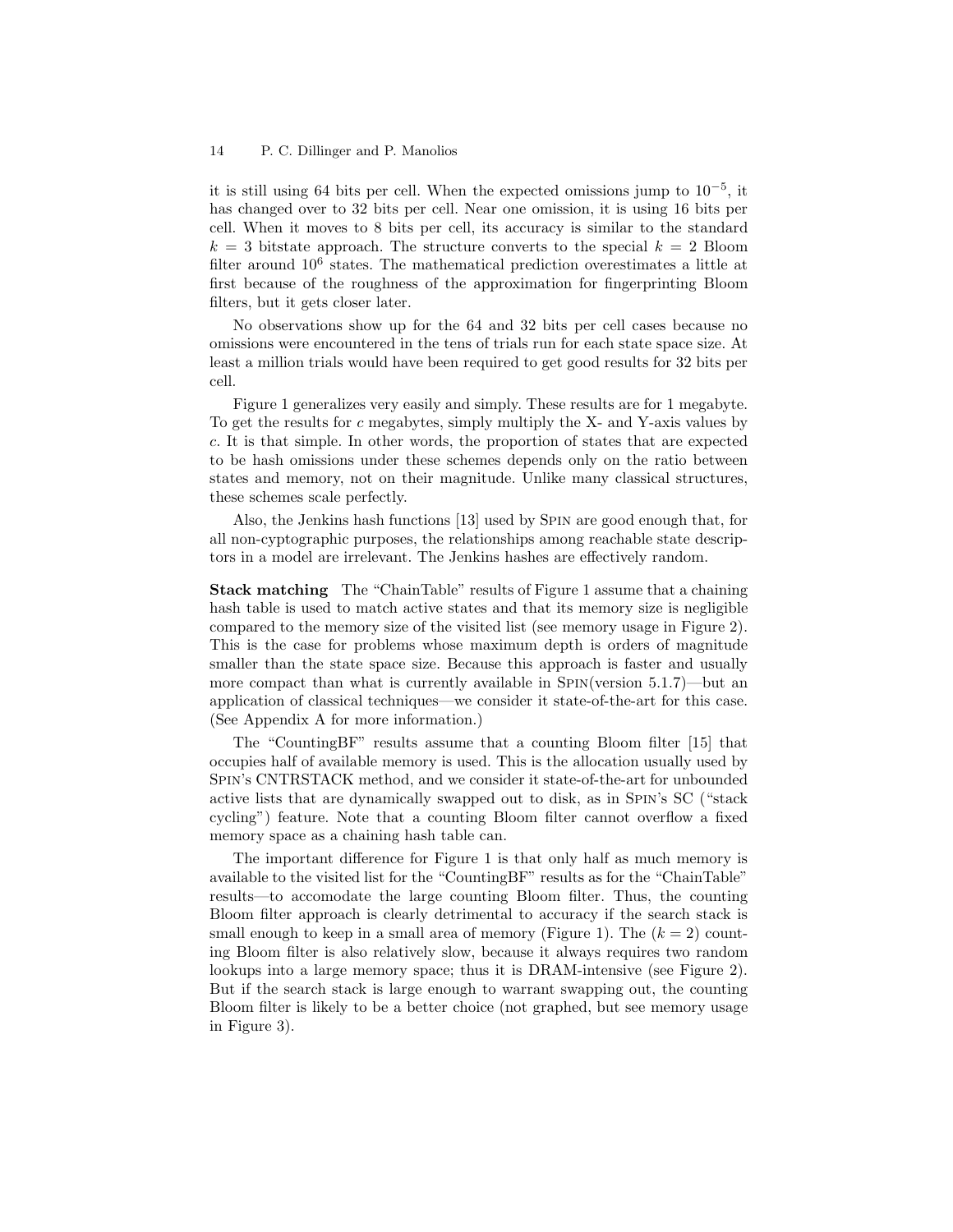it is still using 64 bits per cell. When the expected omissions jump to  $10^{-5}$ , it has changed over to 32 bits per cell. Near one omission, it is using 16 bits per cell. When it moves to 8 bits per cell, its accuracy is similar to the standard  $k = 3$  bitstate approach. The structure converts to the special  $k = 2$  Bloom filter around  $10^6$  states. The mathematical prediction overestimates a little at first because of the roughness of the approximation for fingerprinting Bloom filters, but it gets closer later.

No observations show up for the 64 and 32 bits per cell cases because no omissions were encountered in the tens of trials run for each state space size. At least a million trials would have been required to get good results for 32 bits per cell.

Figure 1 generalizes very easily and simply. These results are for 1 megabyte. To get the results for c megabytes, simply multiply the X- and Y-axis values by c. It is that simple. In other words, the proportion of states that are expected to be hash omissions under these schemes depends only on the ratio between states and memory, not on their magnitude. Unlike many classical structures, these schemes scale perfectly.

Also, the Jenkins hash functions [13] used by Spin are good enough that, for all non-cyptographic purposes, the relationships among reachable state descriptors in a model are irrelevant. The Jenkins hashes are effectively random.

Stack matching The "ChainTable" results of Figure 1 assume that a chaining hash table is used to match active states and that its memory size is negligible compared to the memory size of the visited list (see memory usage in Figure 2). This is the case for problems whose maximum depth is orders of magnitude smaller than the state space size. Because this approach is faster and usually more compact than what is currently available in SPIN(version 5.1.7)—but an application of classical techniques—we consider it state-of-the-art for this case. (See Appendix A for more information.)

The "CountingBF" results assume that a counting Bloom filter [15] that occupies half of available memory is used. This is the allocation usually used by Spin's CNTRSTACK method, and we consider it state-of-the-art for unbounded active lists that are dynamically swapped out to disk, as in Spin's SC ("stack cycling") feature. Note that a counting Bloom filter cannot overflow a fixed memory space as a chaining hash table can.

The important difference for Figure 1 is that only half as much memory is available to the visited list for the "CountingBF" results as for the "ChainTable" results—to accomodate the large counting Bloom filter. Thus, the counting Bloom filter approach is clearly detrimental to accuracy if the search stack is small enough to keep in a small area of memory (Figure 1). The  $(k = 2)$  counting Bloom filter is also relatively slow, because it always requires two random lookups into a large memory space; thus it is DRAM-intensive (see Figure 2). But if the search stack is large enough to warrant swapping out, the counting Bloom filter is likely to be a better choice (not graphed, but see memory usage in Figure 3).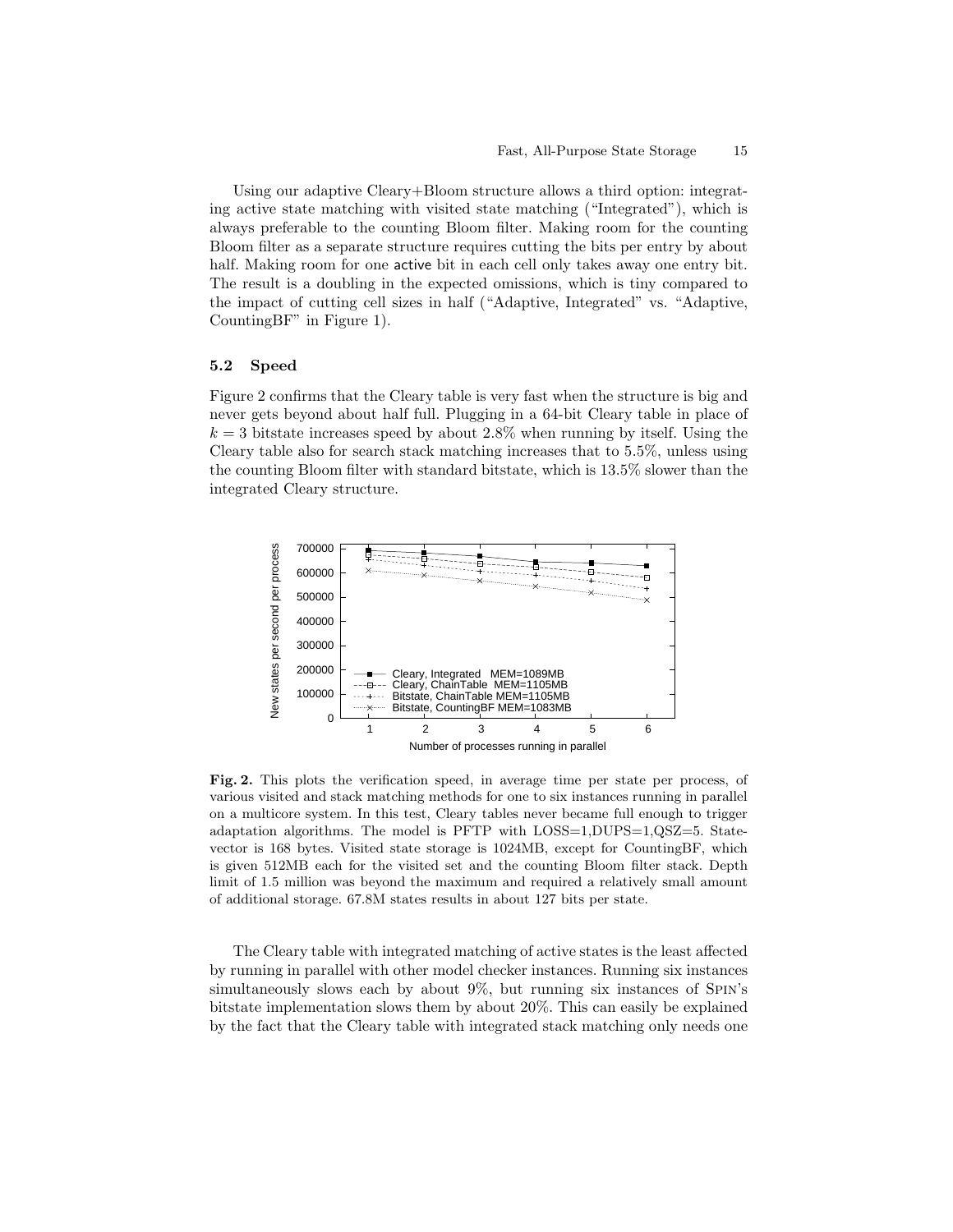Using our adaptive Cleary+Bloom structure allows a third option: integrating active state matching with visited state matching ("Integrated"), which is always preferable to the counting Bloom filter. Making room for the counting Bloom filter as a separate structure requires cutting the bits per entry by about half. Making room for one active bit in each cell only takes away one entry bit. The result is a doubling in the expected omissions, which is tiny compared to the impact of cutting cell sizes in half ("Adaptive, Integrated" vs. "Adaptive, CountingBF" in Figure 1).

### 5.2 Speed

Figure 2 confirms that the Cleary table is very fast when the structure is big and never gets beyond about half full. Plugging in a 64-bit Cleary table in place of  $k = 3$  bitstate increases speed by about 2.8% when running by itself. Using the Cleary table also for search stack matching increases that to 5.5%, unless using the counting Bloom filter with standard bitstate, which is 13.5% slower than the integrated Cleary structure.



Fig. 2. This plots the verification speed, in average time per state per process, of various visited and stack matching methods for one to six instances running in parallel on a multicore system. In this test, Cleary tables never became full enough to trigger adaptation algorithms. The model is PFTP with LOSS=1,DUPS=1,QSZ=5. Statevector is 168 bytes. Visited state storage is 1024MB, except for CountingBF, which is given 512MB each for the visited set and the counting Bloom filter stack. Depth limit of 1.5 million was beyond the maximum and required a relatively small amount of additional storage. 67.8M states results in about 127 bits per state.

The Cleary table with integrated matching of active states is the least affected by running in parallel with other model checker instances. Running six instances simultaneously slows each by about 9%, but running six instances of Spin's bitstate implementation slows them by about 20%. This can easily be explained by the fact that the Cleary table with integrated stack matching only needs one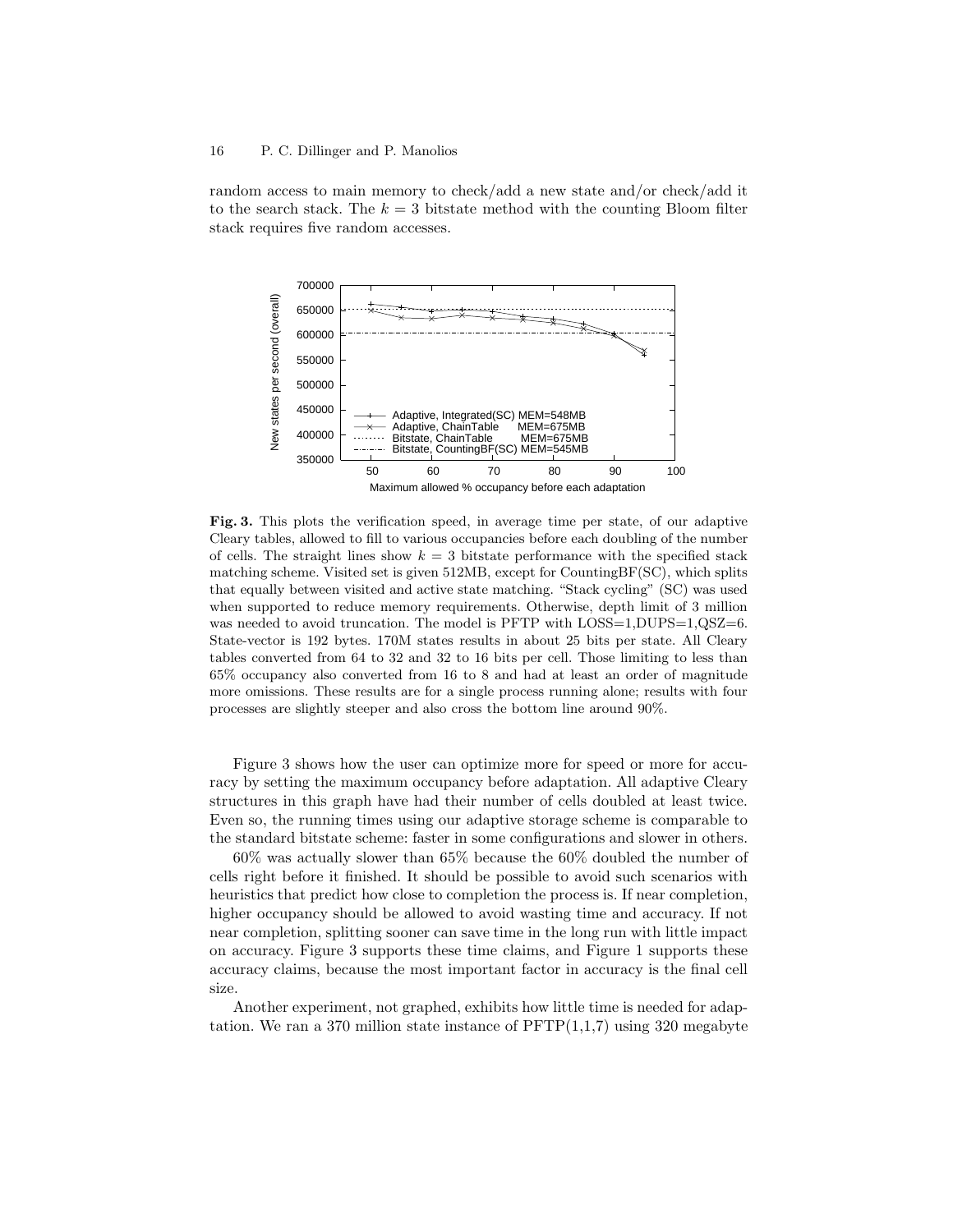random access to main memory to check/add a new state and/or check/add it to the search stack. The  $k = 3$  bitstate method with the counting Bloom filter stack requires five random accesses.



Fig. 3. This plots the verification speed, in average time per state, of our adaptive Cleary tables, allowed to fill to various occupancies before each doubling of the number of cells. The straight lines show  $k = 3$  bitstate performance with the specified stack matching scheme. Visited set is given 512MB, except for CountingBF(SC), which splits that equally between visited and active state matching. "Stack cycling" (SC) was used when supported to reduce memory requirements. Otherwise, depth limit of 3 million was needed to avoid truncation. The model is PFTP with LOSS=1,DUPS=1,QSZ=6. State-vector is 192 bytes. 170M states results in about 25 bits per state. All Cleary tables converted from 64 to 32 and 32 to 16 bits per cell. Those limiting to less than 65% occupancy also converted from 16 to 8 and had at least an order of magnitude more omissions. These results are for a single process running alone; results with four processes are slightly steeper and also cross the bottom line around 90%.

Figure 3 shows how the user can optimize more for speed or more for accuracy by setting the maximum occupancy before adaptation. All adaptive Cleary structures in this graph have had their number of cells doubled at least twice. Even so, the running times using our adaptive storage scheme is comparable to the standard bitstate scheme: faster in some configurations and slower in others.

60% was actually slower than 65% because the 60% doubled the number of cells right before it finished. It should be possible to avoid such scenarios with heuristics that predict how close to completion the process is. If near completion, higher occupancy should be allowed to avoid wasting time and accuracy. If not near completion, splitting sooner can save time in the long run with little impact on accuracy. Figure 3 supports these time claims, and Figure 1 supports these accuracy claims, because the most important factor in accuracy is the final cell size.

Another experiment, not graphed, exhibits how little time is needed for adaptation. We ran a 370 million state instance of  $PFTP(1,1,7)$  using 320 megabyte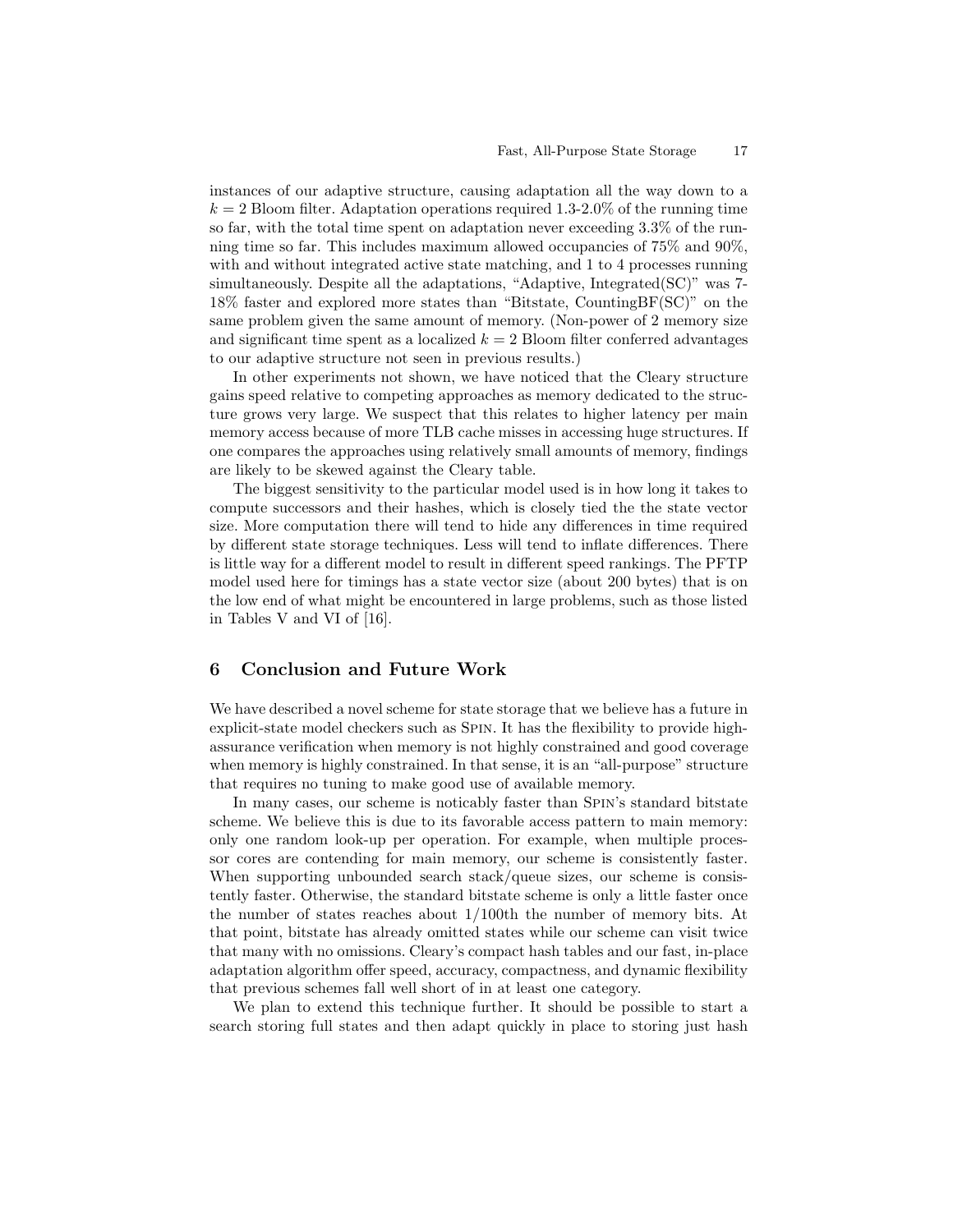instances of our adaptive structure, causing adaptation all the way down to a  $k = 2$  Bloom filter. Adaptation operations required 1.3-2.0% of the running time so far, with the total time spent on adaptation never exceeding 3.3% of the running time so far. This includes maximum allowed occupancies of 75% and 90%, with and without integrated active state matching, and 1 to 4 processes running simultaneously. Despite all the adaptations, "Adaptive, Integrated(SC)" was 7-18% faster and explored more states than "Bitstate, CountingBF(SC)" on the same problem given the same amount of memory. (Non-power of 2 memory size and significant time spent as a localized  $k = 2$  Bloom filter conferred advantages to our adaptive structure not seen in previous results.)

In other experiments not shown, we have noticed that the Cleary structure gains speed relative to competing approaches as memory dedicated to the structure grows very large. We suspect that this relates to higher latency per main memory access because of more TLB cache misses in accessing huge structures. If one compares the approaches using relatively small amounts of memory, findings are likely to be skewed against the Cleary table.

The biggest sensitivity to the particular model used is in how long it takes to compute successors and their hashes, which is closely tied the the state vector size. More computation there will tend to hide any differences in time required by different state storage techniques. Less will tend to inflate differences. There is little way for a different model to result in different speed rankings. The PFTP model used here for timings has a state vector size (about 200 bytes) that is on the low end of what might be encountered in large problems, such as those listed in Tables V and VI of [16].

### 6 Conclusion and Future Work

We have described a novel scheme for state storage that we believe has a future in explicit-state model checkers such as Spin. It has the flexibility to provide highassurance verification when memory is not highly constrained and good coverage when memory is highly constrained. In that sense, it is an "all-purpose" structure that requires no tuning to make good use of available memory.

In many cases, our scheme is noticably faster than SPIN's standard bitstate scheme. We believe this is due to its favorable access pattern to main memory: only one random look-up per operation. For example, when multiple processor cores are contending for main memory, our scheme is consistently faster. When supporting unbounded search stack/queue sizes, our scheme is consistently faster. Otherwise, the standard bitstate scheme is only a little faster once the number of states reaches about 1/100th the number of memory bits. At that point, bitstate has already omitted states while our scheme can visit twice that many with no omissions. Cleary's compact hash tables and our fast, in-place adaptation algorithm offer speed, accuracy, compactness, and dynamic flexibility that previous schemes fall well short of in at least one category.

We plan to extend this technique further. It should be possible to start a search storing full states and then adapt quickly in place to storing just hash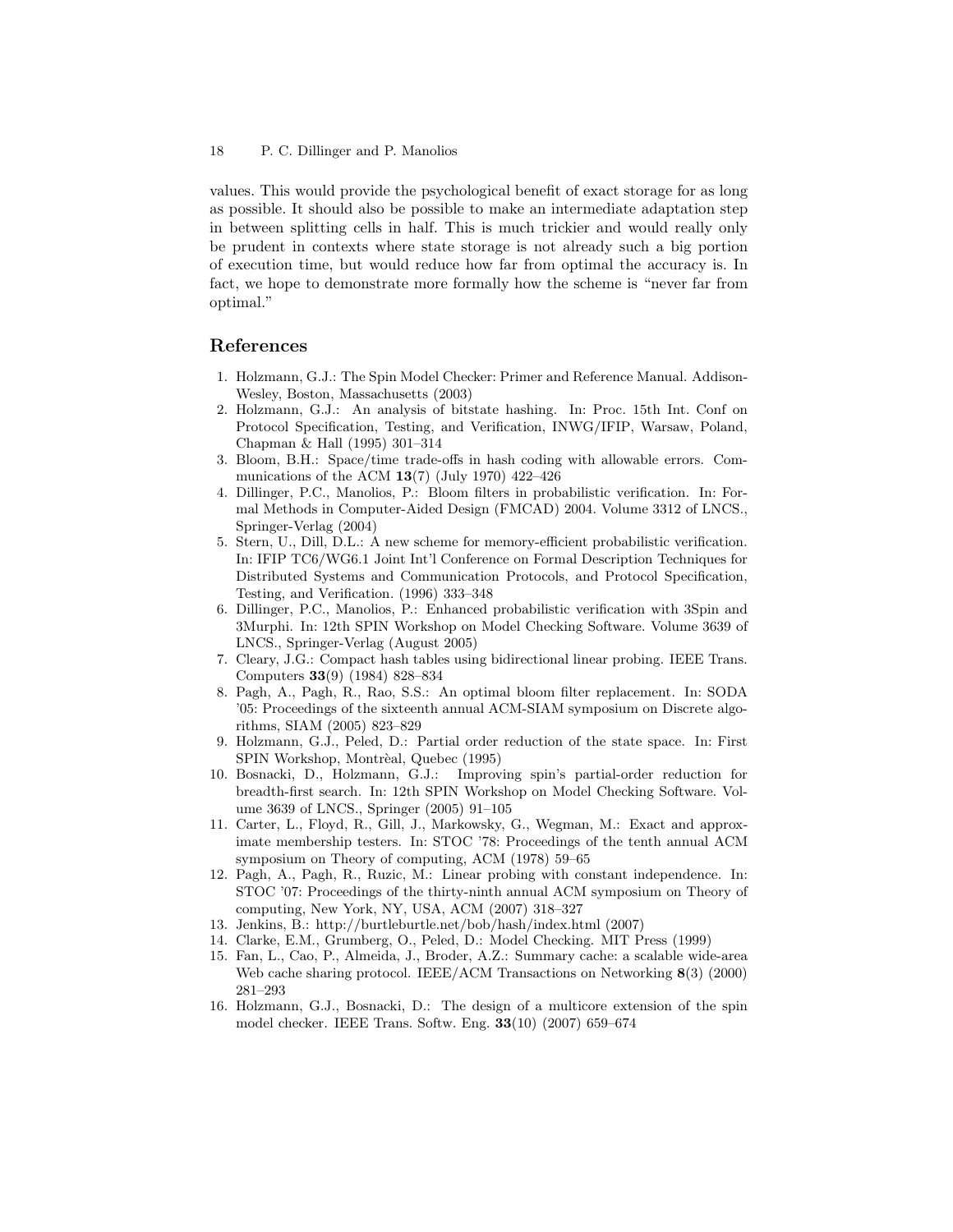values. This would provide the psychological benefit of exact storage for as long as possible. It should also be possible to make an intermediate adaptation step in between splitting cells in half. This is much trickier and would really only be prudent in contexts where state storage is not already such a big portion of execution time, but would reduce how far from optimal the accuracy is. In fact, we hope to demonstrate more formally how the scheme is "never far from optimal."

# References

- 1. Holzmann, G.J.: The Spin Model Checker: Primer and Reference Manual. Addison-Wesley, Boston, Massachusetts (2003)
- 2. Holzmann, G.J.: An analysis of bitstate hashing. In: Proc. 15th Int. Conf on Protocol Specification, Testing, and Verification, INWG/IFIP, Warsaw, Poland, Chapman & Hall (1995) 301–314
- 3. Bloom, B.H.: Space/time trade-offs in hash coding with allowable errors. Communications of the ACM  $13(7)$  (July 1970) 422-426
- 4. Dillinger, P.C., Manolios, P.: Bloom filters in probabilistic verification. In: Formal Methods in Computer-Aided Design (FMCAD) 2004. Volume 3312 of LNCS., Springer-Verlag (2004)
- 5. Stern, U., Dill, D.L.: A new scheme for memory-efficient probabilistic verification. In: IFIP TC6/WG6.1 Joint Int'l Conference on Formal Description Techniques for Distributed Systems and Communication Protocols, and Protocol Specification, Testing, and Verification. (1996) 333–348
- 6. Dillinger, P.C., Manolios, P.: Enhanced probabilistic verification with 3Spin and 3Murphi. In: 12th SPIN Workshop on Model Checking Software. Volume 3639 of LNCS., Springer-Verlag (August 2005)
- 7. Cleary, J.G.: Compact hash tables using bidirectional linear probing. IEEE Trans. Computers 33(9) (1984) 828–834
- 8. Pagh, A., Pagh, R., Rao, S.S.: An optimal bloom filter replacement. In: SODA '05: Proceedings of the sixteenth annual ACM-SIAM symposium on Discrete algorithms, SIAM (2005) 823–829
- 9. Holzmann, G.J., Peled, D.: Partial order reduction of the state space. In: First SPIN Workshop, Montrèal, Quebec (1995)
- 10. Bosnacki, D., Holzmann, G.J.: Improving spin's partial-order reduction for breadth-first search. In: 12th SPIN Workshop on Model Checking Software. Volume 3639 of LNCS., Springer (2005) 91–105
- 11. Carter, L., Floyd, R., Gill, J., Markowsky, G., Wegman, M.: Exact and approximate membership testers. In: STOC '78: Proceedings of the tenth annual ACM symposium on Theory of computing, ACM (1978) 59–65
- 12. Pagh, A., Pagh, R., Ruzic, M.: Linear probing with constant independence. In: STOC '07: Proceedings of the thirty-ninth annual ACM symposium on Theory of computing, New York, NY, USA, ACM (2007) 318–327
- 13. Jenkins, B.: http://burtleburtle.net/bob/hash/index.html (2007)
- 14. Clarke, E.M., Grumberg, O., Peled, D.: Model Checking. MIT Press (1999)
- 15. Fan, L., Cao, P., Almeida, J., Broder, A.Z.: Summary cache: a scalable wide-area Web cache sharing protocol. IEEE/ACM Transactions on Networking 8(3) (2000) 281–293
- 16. Holzmann, G.J., Bosnacki, D.: The design of a multicore extension of the spin model checker. IEEE Trans. Softw. Eng. 33(10) (2007) 659–674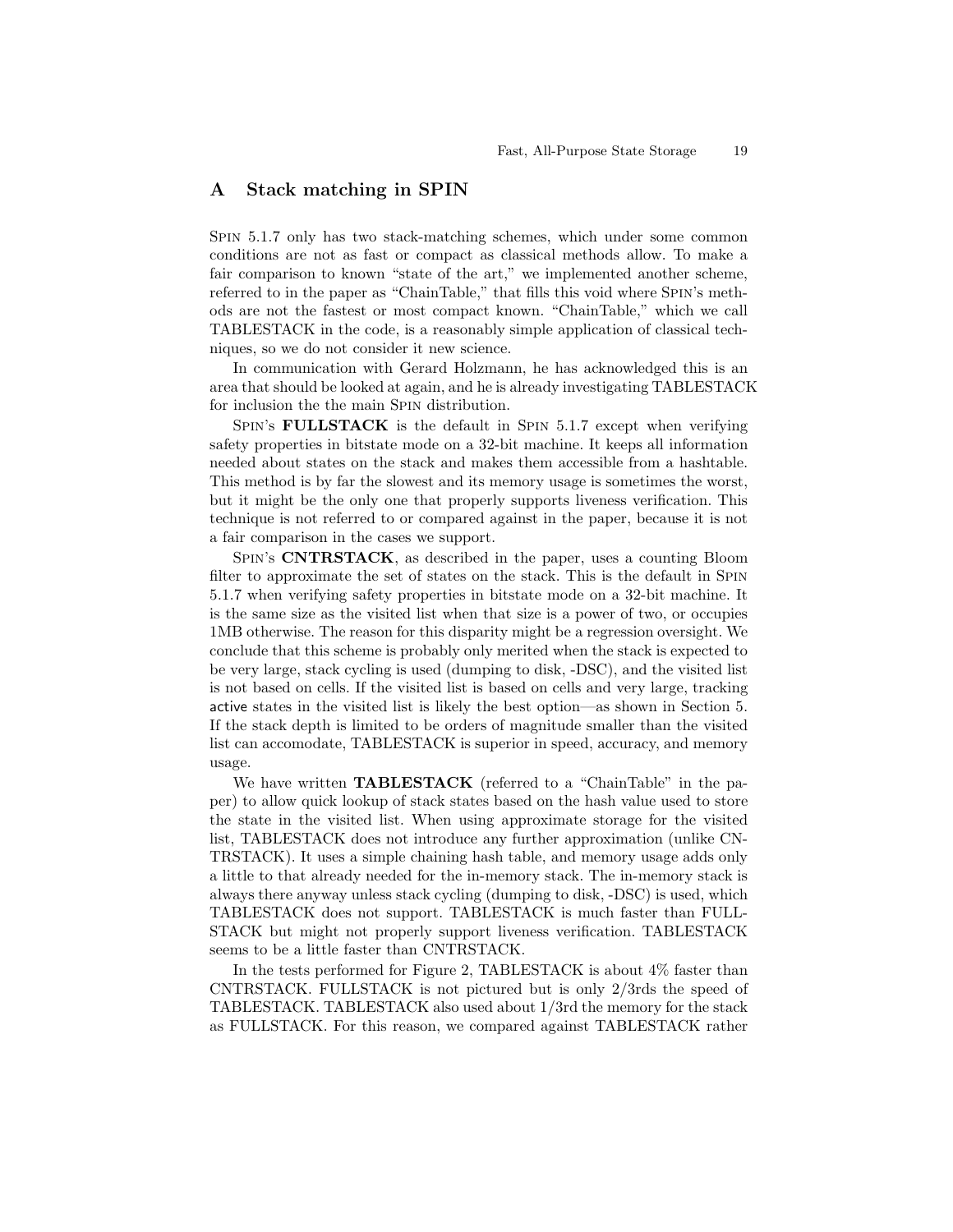# A Stack matching in SPIN

Spin 5.1.7 only has two stack-matching schemes, which under some common conditions are not as fast or compact as classical methods allow. To make a fair comparison to known "state of the art," we implemented another scheme, referred to in the paper as "ChainTable," that fills this void where Spin's methods are not the fastest or most compact known. "ChainTable," which we call TABLESTACK in the code, is a reasonably simple application of classical techniques, so we do not consider it new science.

In communication with Gerard Holzmann, he has acknowledged this is an area that should be looked at again, and he is already investigating TABLESTACK for inclusion the the main Spin distribution.

Spin's FULLSTACK is the default in Spin 5.1.7 except when verifying safety properties in bitstate mode on a 32-bit machine. It keeps all information needed about states on the stack and makes them accessible from a hashtable. This method is by far the slowest and its memory usage is sometimes the worst, but it might be the only one that properly supports liveness verification. This technique is not referred to or compared against in the paper, because it is not a fair comparison in the cases we support.

Spin's CNTRSTACK, as described in the paper, uses a counting Bloom filter to approximate the set of states on the stack. This is the default in Spin 5.1.7 when verifying safety properties in bitstate mode on a 32-bit machine. It is the same size as the visited list when that size is a power of two, or occupies 1MB otherwise. The reason for this disparity might be a regression oversight. We conclude that this scheme is probably only merited when the stack is expected to be very large, stack cycling is used (dumping to disk, -DSC), and the visited list is not based on cells. If the visited list is based on cells and very large, tracking active states in the visited list is likely the best option—as shown in Section 5. If the stack depth is limited to be orders of magnitude smaller than the visited list can accomodate, TABLESTACK is superior in speed, accuracy, and memory usage.

We have written **TABLESTACK** (referred to a "ChainTable" in the paper) to allow quick lookup of stack states based on the hash value used to store the state in the visited list. When using approximate storage for the visited list, TABLESTACK does not introduce any further approximation (unlike CN-TRSTACK). It uses a simple chaining hash table, and memory usage adds only a little to that already needed for the in-memory stack. The in-memory stack is always there anyway unless stack cycling (dumping to disk, -DSC) is used, which TABLESTACK does not support. TABLESTACK is much faster than FULL-STACK but might not properly support liveness verification. TABLESTACK seems to be a little faster than CNTRSTACK.

In the tests performed for Figure 2, TABLESTACK is about 4% faster than CNTRSTACK. FULLSTACK is not pictured but is only 2/3rds the speed of TABLESTACK. TABLESTACK also used about 1/3rd the memory for the stack as FULLSTACK. For this reason, we compared against TABLESTACK rather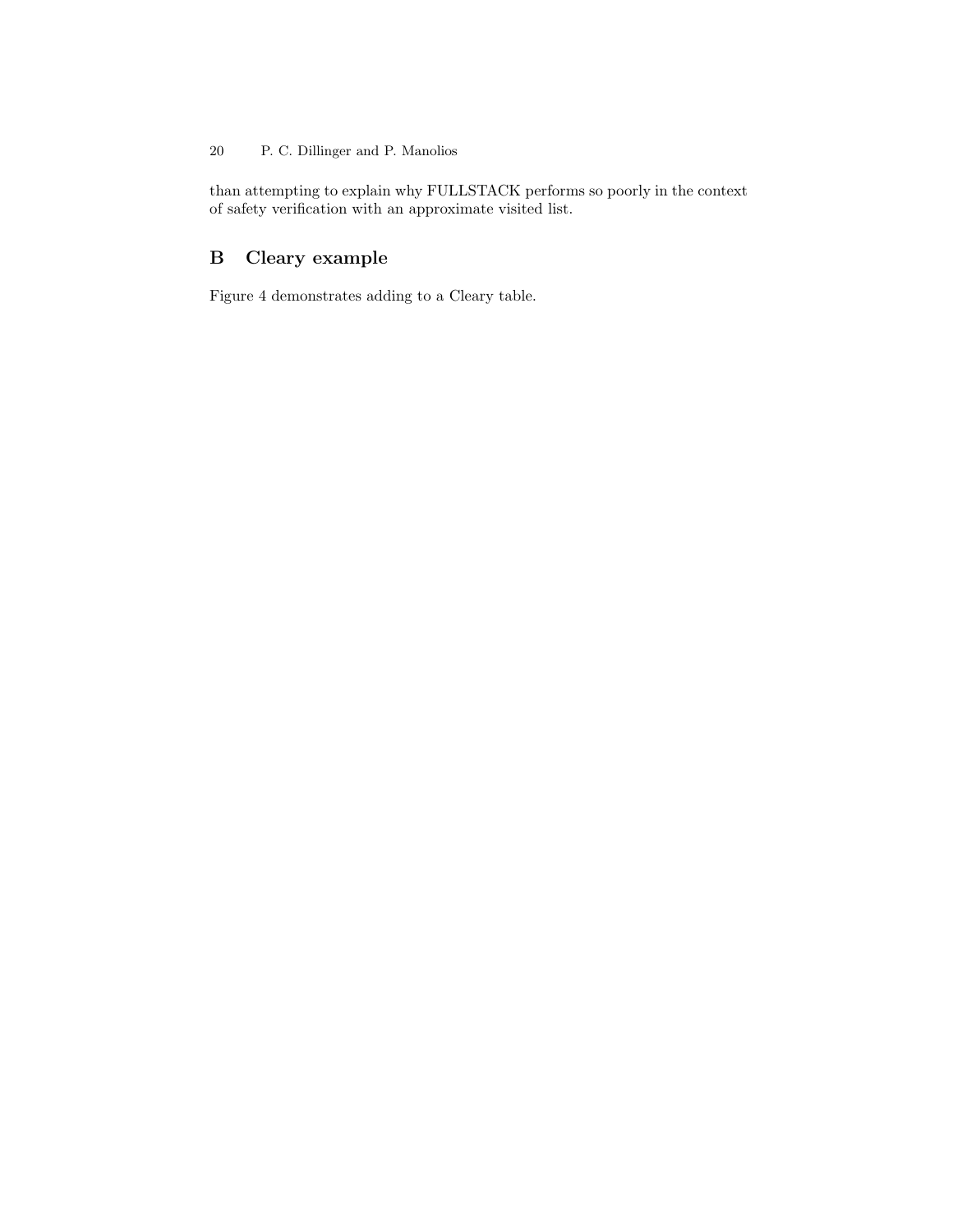than attempting to explain why FULLSTACK performs so poorly in the context of safety verification with an approximate visited list.

# B Cleary example

Figure 4 demonstrates adding to a Cleary table.